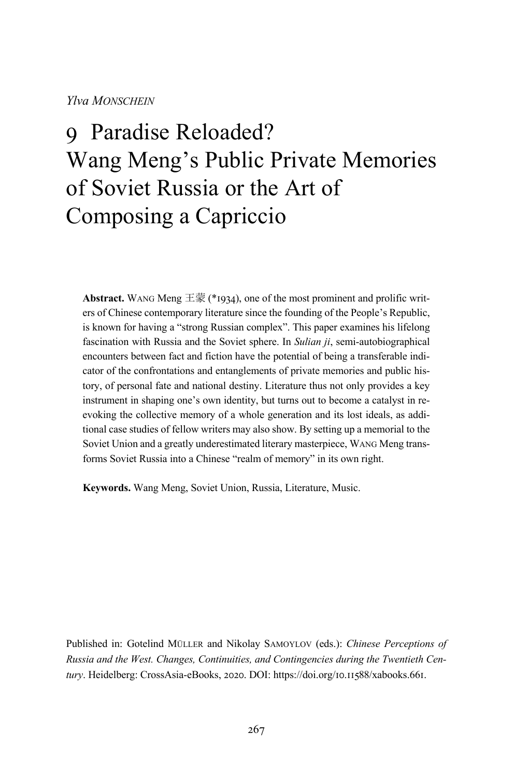#### *Ylva MONSCHEIN*

# q Paradise Reloaded? Wang Meng's Public Private Memories of Soviet Russia or the Art of Composing a Capriccio

**Abstract.** WANG Meng  $\equiv \frac{2\pi}{3}$  (\*1934), one of the most prominent and prolific writers of Chinese contemporary literature since the founding of the People's Republic, is known for having a "strong Russian complex". This paper examines his lifelong fascination with Russia and the Soviet sphere. In *Sulian ji*, semi-autobiographical encounters between fact and fiction have the potential of being a transferable indicator of the confrontations and entanglements of private memories and public history, of personal fate and national destiny. Literature thus not only provides a key instrument in shaping one's own identity, but turns out to become a catalyst in reevoking the collective memory of a whole generation and its lost ideals, as additional case studies of fellow writers may also show. By setting up a memorial to the Soviet Union and a greatly underestimated literary masterpiece, WANG Meng transforms Soviet Russia into a Chinese "realm of memory" in its own right.

**Keywords.** Wang Meng, Soviet Union, Russia, Literature, Music.

Published in: Gotelind MÜLLER and Nikolay SAMOYLOV (eds.): *Chinese Perceptions of Russia and the West. Changes, Continuities, and Contingencies during the Twentieth Cen*tury. Heidelberg: CrossAsia-eBooks, 2020. DOI: https://doi.org/10.11588/xabooks.661.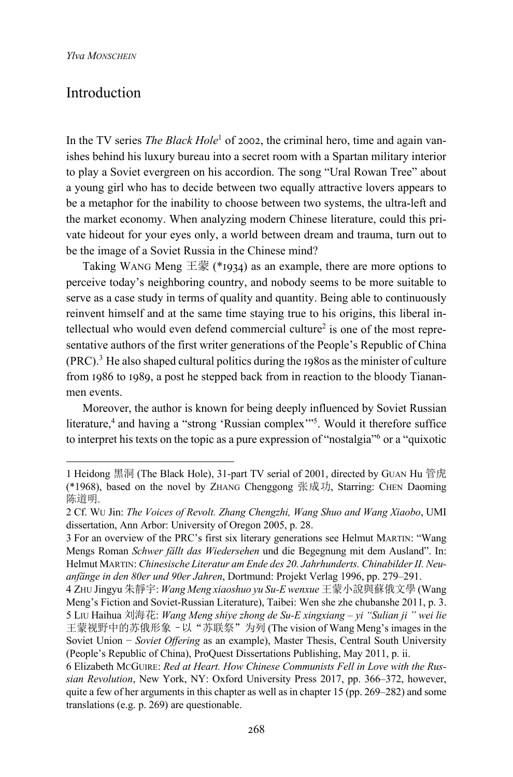#### Introduction

In the TV series *The Black Hole*<sup>1</sup> of 2002, the criminal hero, time and again vanishes behind his luxury bureau into a secret room with a Spartan military interior to play a Soviet evergreen on his accordion. The song "Ural Rowan Tree" about a young girl who has to decide between two equally attractive lovers appears to be a metaphor for the inability to choose between two systems, the ultra-left and the market economy. When analyzing modern Chinese literature, could this private hideout for your eyes only, a world between dream and trauma, turn out to be the image of a Soviet Russia in the Chinese mind?

Taking WANG Meng 王蒙 (\*1934) as an example, there are more options to perceive today's neighboring country, and nobody seems to be more suitable to serve as a case study in terms of quality and quantity. Being able to continuously reinvent himself and at the same time staying true to his origins, this liberal intellectual who would even defend commercial culture<sup>2</sup> is one of the most representative authors of the first writer generations of the People's Republic of China  $(PRC)$ .<sup>3</sup> He also shaped cultural politics during the 1980s as the minister of culture from 1986 to 1989, a post he stepped back from in reaction to the bloody Tiananmen events.

Moreover, the author is known for being deeply influenced by Soviet Russian literature,<sup>4</sup> and having a "strong 'Russian complex'"<sup>5</sup>. Would it therefore suffice to interpret his texts on the topic as a pure expression of "nostalgia"6 or a "quixotic

<sup>1</sup> Heidong 黑洞 (The Black Hole), 31-part TV serial of 2001, directed by GUAN Hu 管虎 (\*1968), based on the novel by ZHANG Chenggong 张成功, Starring: CHEN Daoming 陈道明.

<sup>2</sup> Cf. WU Jin: *The Voices of Revolt. Zhang Chengzhi, Wang Shuo and Wang Xiaobo*, UMI dissertation, Ann Arbor: University of Oregon 2005, p. 28.

<sup>3</sup> For an overview of the PRC's first six literary generations see Helmut MARTIN: "Wang Mengs Roman *Schwer fällt das Wiedersehen* und die Begegnung mit dem Ausland". In: Helmut MARTIN: *Chinesische Literatur am Ende des 20. Jahrhunderts. Chinabilder II. Neuanfänge in den 80er und 90er Jahren*, Dortmund: Projekt Verlag 1996, pp. 279–291.

<sup>4</sup> ZHU Jingyu 朱靜宇: *Wang Meng xiaoshuo yu Su-E wenxue* 王蒙小說與蘇俄文學 (Wang Meng's Fiction and Soviet-Russian Literature), Taibei: Wen she zhe chubanshe 2011, p. 3. 5 LIU Haihua 刘海花: *Wang Meng shiye zhong de Su-E xingxiang – yi "Sulian ji " wei lie* 王蒙视野中的苏俄形象–以"苏联祭"为列 (The vision of Wang Meng's images in the Soviet Union − *Soviet Offering* as an example), Master Thesis, Central South University (People's Republic of China), ProQuest Dissertations Publishing, May 2011, p. ii.

<sup>6</sup> Elizabeth MCGUIRE: *Red at Heart. How Chinese Communists Fell in Love with the Russian Revolution*, New York, NY: Oxford University Press 2017, pp. 366–372, however, quite a few of her arguments in this chapter as well as in chapter 15 (pp. 269–282) and some translations (e.g. p. 269) are questionable.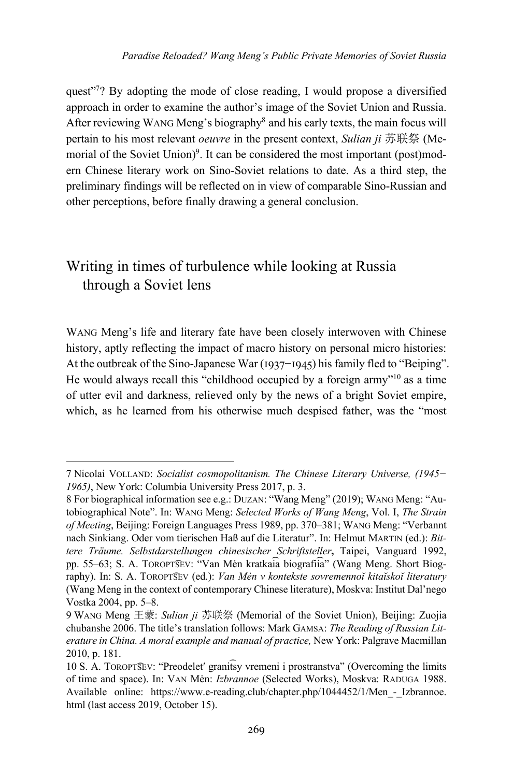quest"<sup>7</sup>? By adopting the mode of close reading, I would propose a diversified approach in order to examine the author's image of the Soviet Union and Russia. After reviewing WANG Meng's biography<sup>8</sup> and his early texts, the main focus will pertain to his most relevant *oeuvre* in the present context, *Sulian ji* 苏联祭 (Memorial of the Soviet Union)<sup>9</sup>. It can be considered the most important (post)modern Chinese literary work on Sino-Soviet relations to date. As a third step, the preliminary findings will be reflected on in view of comparable Sino-Russian and other perceptions, before finally drawing a general conclusion.

## Writing in times of turbulence while looking at Russia through a Soviet lens

WANG Meng's life and literary fate have been closely interwoven with Chinese history, aptly reflecting the impact of macro history on personal micro histories: At the outbreak of the Sino-Japanese War ( $1937-1945$ ) his family fled to "Beiping". He would always recall this "childhood occupied by a foreign army"10 as a time of utter evil and darkness, relieved only by the news of a bright Soviet empire, which, as he learned from his otherwise much despised father, was the "most

<sup>7</sup> Nicolai VOLLAND: *Socialist cosmopolitanism. The Chinese Literary Universe, (1945− 1965)*, New York: Columbia University Press 2017, p. 3.

<sup>8</sup> For biographical information see e.g.: DUZAN: "Wang Meng" (2019); WANG Meng: "Autobiographical Note". In: WANG Meng: *Selected Works of Wang Meng*, Vol. I, *The Strain of Meeting*, Beijing: Foreign Languages Press 1989, pp. 370–381; WANG Meng: "Verbannt nach Sinkiang. Oder vom tierischen Haß auf die Literatur". In: Helmut MARTIN (ed.): *Bittere Träume. Selbstdarstellungen chinesischer Schriftsteller***,** Taipei, Vanguard 1992, pp. 55–63; S. А. TOROPT͡SEV: "Van Mėn kratkai͡a biografii͡a" (Wang Meng. Short Biography). In: S. А. TOROPT͡SEV (ed.): *Van Mėn v kontekste sovremennoĭ kitaĭskoĭ literatury*  (Wang Meng in the context of contemporary Chinese literature), Moskva: Institut Dal'nego Vostka 2004, pp. 5–8.

<sup>9</sup> WANG Meng 王蒙: *Sulian ji* 苏联祭 (Memorial of the Soviet Union), Beijing: Zuojia chubanshe 2006. The title's translation follows: Mark GAMSA: *The Reading of Russian Literature in China. A moral example and manual of practice,* New York: Palgrave Macmillan 2010, p. 181.

<sup>10</sup> S. А. TOROPT͡SEV: "Preodeletʹ granit͡sy vremeni i prostranstva" (Overcoming the limits of time and space). In: VАN Mėn: *Izbrannoe* (Selected Works), Moskva: RADUGA 1988. Available online: https://www.e-reading.club/chapter.php/1044452/1/Men - Izbrannoe. html (last access 2019, October 15).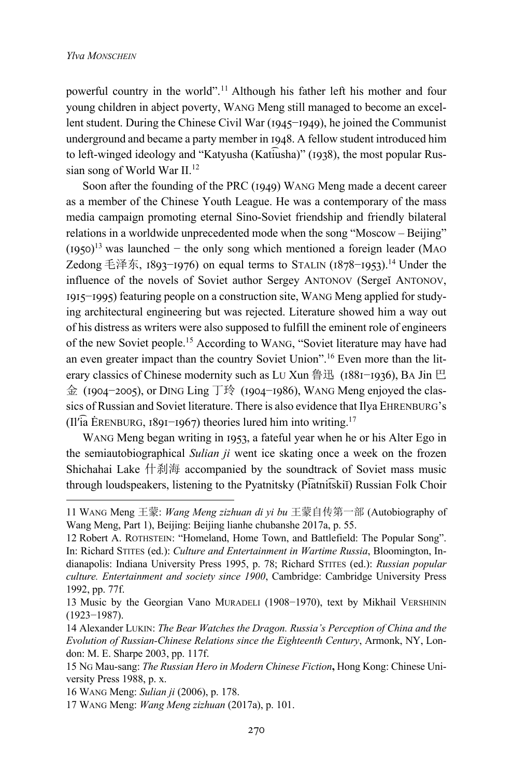powerful country in the world".11 Although his father left his mother and four young children in abject poverty, WANG Meng still managed to become an excellent student. During the Chinese Civil War (1945–1949), he joined the Communist underground and became a party member in 1948. A fellow student introduced him to left-winged ideology and "Katyusha (Katiusha)" (1938), the most popular Russian song of World War II.12

Soon after the founding of the PRC (1949) WANG Meng made a decent career as a member of the Chinese Youth League. He was a contemporary of the mass media campaign promoting eternal Sino-Soviet friendship and friendly bilateral relations in a worldwide unprecedented mode when the song "Moscow – Beijing"  $(1950)^{13}$  was launched − the only song which mentioned a foreign leader (MAO Zedong 毛泽东,  $1893-1976$ ) on equal terms to STALIN ( $1878-1953$ ).<sup>14</sup> Under the influence of the novels of Soviet author Sergey ANTONOV (Sergeĭ ANTONOV, 1915–1995) featuring people on a construction site, WANG Meng applied for studying architectural engineering but was rejected. Literature showed him a way out of his distress as writers were also supposed to fulfill the eminent role of engineers of the new Soviet people.15 According to WANG, "Soviet literature may have had an even greater impact than the country Soviet Union".16 Even more than the literary classics of Chinese modernity such as LU Xun 鲁迅 (1881-1936), BA Jin 巴 金 (1904-2005), or DING Ling 丁玲 (1904-1986), WANG Meng enjoyed the classics of Russian and Soviet literature. There is also evidence that Ilya EHRENBURG's (Il'ia ĖRENBURG, 1891–1967) theories lured him into writing.<sup>17</sup>

WANG Meng began writing in 1953, a fateful year when he or his Alter Ego in the semiautobiographical *Sulian ji* went ice skating once a week on the frozen Shichahai Lake 什刹海 accompanied by the soundtrack of Soviet mass music through loudspeakers, listening to the Pyatnitsky (Pi͡atnit͡skiĭ) Russian Folk Choir

<sup>11</sup> WANG Meng 王蒙: *Wang Meng zizhuan di yi bu* 王蒙自传第一部 (Autobiography of Wang Meng, Part 1), Beijing: Beijing lianhe chubanshe 2017a, p. 55.

<sup>12</sup> Robert A. ROTHSTEIN: "Homeland, Home Town, and Battlefield: The Popular Song". In: Richard STITES (ed.): *Culture and Entertainment in Wartime Russia*, Bloomington, Indianapolis: Indiana University Press 1995, p. 78; Richard STITES (ed.): *Russian popular culture. Entertainment and society since 1900*, Cambridge: Cambridge University Press 1992, pp. 77f.

<sup>13</sup> Music by the Georgian Vano MURADELI (1908−1970), text by Mikhail VERSHININ (1923−1987).

<sup>14</sup> Alexander LUKIN: *The Bear Watches the Dragon. Russia's Perception of China and the Evolution of Russian-Chinese Relations since the Eighteenth Century*, Armonk, NY, London: M. E. Sharpe 2003, pp. 117f.

<sup>15</sup> NG Mau-sang: *The Russian Hero in Modern Chinese Fiction***,** Hong Kong: Chinese University Press 1988, p. x.

<sup>16</sup> WANG Meng: *Sulian ji* (2006), p. 178.

<sup>17</sup> WANG Meng: *Wang Meng zizhuan* (2017a), p. 101.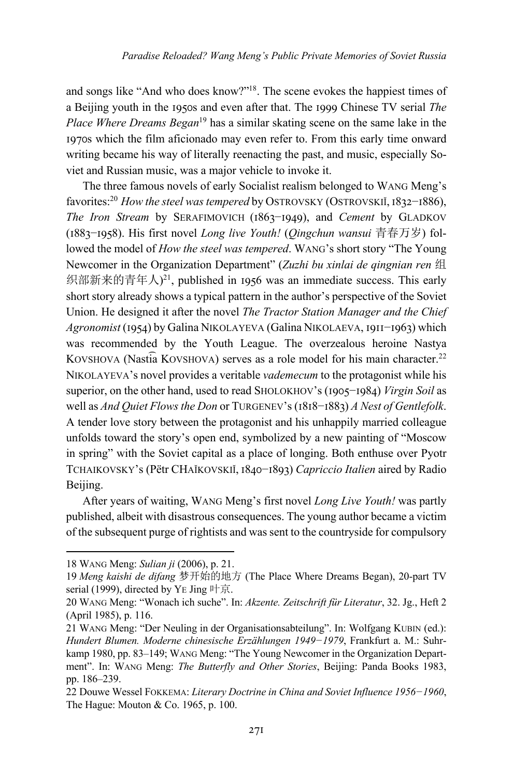and songs like "And who does know?"18. The scene evokes the happiest times of a Beijing youth in the 1950s and even after that. The 1999 Chinese TV serial *The Place Where Dreams Began*<sup>19</sup> has a similar skating scene on the same lake in the 1970s which the film aficionado may even refer to. From this early time onward writing became his way of literally reenacting the past, and music, especially Soviet and Russian music, was a major vehicle to invoke it.

The three famous novels of early Socialist realism belonged to WANG Meng's favorites:<sup>20</sup> *How the steel was tempered* by OSTROVSKY (OSTROVSKIĬ, 1832–1886), *The Iron Stream by SERAFIMOVICH (1863–1949), and <i>Cement by GLADKOV* (I883-I958). His first novel *Long live Youth!* (*Oingchun wansui* 青春万岁) followed the model of *How the steel was tempered*. WANG's short story "The Young Newcomer in the Organization Department" (*Zuzhi bu xinlai de qingnian ren* 组 织部新来的青年人)<sup>21</sup>, published in 1956 was an immediate success. This early short story already shows a typical pattern in the author's perspective of the Soviet Union. He designed it after the novel *The Tractor Station Manager and the Chief Agronomist* (1954) by Galina NIKOLAYEVA (Galina NIKOLAEVA, 1911–1963) which was recommended by the Youth League. The overzealous heroine Nastya KOVSHOVA (Nastia KOVSHOVA) serves as a role model for his main character.<sup>22</sup> NIKOLAYEVA's novel provides a veritable *vademecum* to the protagonist while his superior, on the other hand, used to read SHOLOKHOV's (1905–1984) *Virgin Soil* as well as *And Quiet Flows the Don* or TURGENEV's (1818-1883) *A Nest of Gentlefolk*. A tender love story between the protagonist and his unhappily married colleague unfolds toward the story's open end, symbolized by a new painting of "Moscow in spring" with the Soviet capital as a place of longing. Both enthuse over Pyotr TCHAIKOVSKY's (Pëtr CHAĬKOVSKIĬ, 1840-1893) Capriccio Italien aired by Radio Beijing.

After years of waiting, WANG Meng's first novel *Long Live Youth!* was partly published, albeit with disastrous consequences. The young author became a victim of the subsequent purge of rightists and was sent to the countryside for compulsory

<sup>18</sup> WANG Meng: *Sulian ji* (2006), p. 21.

<sup>19</sup> *Meng kaishi de difang* 梦开始的地方 (The Place Where Dreams Began), 20-part TV serial (1999), directed by YE Jing 叶京.

<sup>20</sup> WANG Meng: "Wonach ich suche". In: *Akzente. Zeitschrift für Literatur*, 32. Jg., Heft 2 (April 1985), p. 116.

<sup>21</sup> WANG Meng: "Der Neuling in der Organisationsabteilung". In: Wolfgang KUBIN (ed.): *Hundert Blumen. Moderne chinesische Erzählungen 1949−1979*, Frankfurt a. M.: Suhrkamp 1980, pp. 83–149; WANG Meng: "The Young Newcomer in the Organization Department". In: WANG Meng: *The Butterfly and Other Stories*, Beijing: Panda Books 1983, pp. 186–239.

<sup>22</sup> Douwe Wessel FOKKEMA: *Literary Doctrine in China and Soviet Influence 1956−1960*, The Hague: Mouton & Co. 1965, p. 100.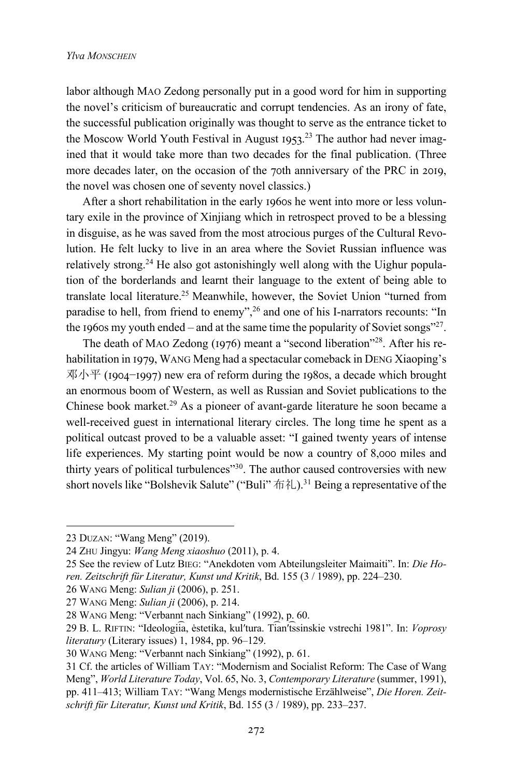labor although MAO Zedong personally put in a good word for him in supporting the novel's criticism of bureaucratic and corrupt tendencies. As an irony of fate, the successful publication originally was thought to serve as the entrance ticket to the Moscow World Youth Festival in August 1953.<sup>23</sup> The author had never imagined that it would take more than two decades for the final publication. (Three more decades later, on the occasion of the 70th anniversary of the PRC in 2019, the novel was chosen one of seventy novel classics.)

After a short rehabilitation in the early 1960s he went into more or less voluntary exile in the province of Xinjiang which in retrospect proved to be a blessing in disguise, as he was saved from the most atrocious purges of the Cultural Revolution. He felt lucky to live in an area where the Soviet Russian influence was relatively strong.<sup>24</sup> He also got astonishingly well along with the Uighur population of the borderlands and learnt their language to the extent of being able to translate local literature.<sup>25</sup> Meanwhile, however, the Soviet Union "turned from paradise to hell, from friend to enemy",<sup>26</sup> and one of his I-narrators recounts: "In the 1960s my youth ended – and at the same time the popularity of Soviet songs"<sup>27</sup>.

The death of MAO Zedong (1976) meant a "second liberation"<sup>28</sup>. After his rehabilitation in 1979, WANG Meng had a spectacular comeback in DENG Xiaoping's  $\mathcal{R} \mathcal{N} \mathcal{N}$  (1904–1997) new era of reform during the 1980s, a decade which brought an enormous boom of Western, as well as Russian and Soviet publications to the Chinese book market.<sup>29</sup> As a pioneer of avant-garde literature he soon became a well-received guest in international literary circles. The long time he spent as a political outcast proved to be a valuable asset: "I gained twenty years of intense life experiences. My starting point would be now a country of 8,000 miles and thirty years of political turbulences"30. The author caused controversies with new short novels like "Bolshevik Salute" ("Buli"  $\hat{\pi} \hat{\chi}$ ).<sup>31</sup> Being a representative of the

<sup>23</sup> DUZAN: "Wang Meng" (2019).

<sup>24</sup> ZHU Jingyu: *Wang Meng xiaoshuo* (2011), p. 4.

<sup>25</sup> See the review of Lutz BIEG: "Anekdoten vom Abteilungsleiter Maimaiti". In: *Die Horen. Zeitschrift für Literatur, Kunst und Kritik*, Bd. 155 (3 / 1989), pp. 224–230.

<sup>26</sup> WANG Meng: *Sulian ji* (2006), p. 251.

<sup>27</sup> WANG Meng: *Sulian ji* (2006), p. 214.

<sup>28</sup> WANG Meng: "Verbannt nach Sinkiang" (1992), p. 60.

<sup>29</sup> B. L. RIFTIN: "Ideologii͡a, ėstetika, kulʹtura. Ti͡anʹt͡ssinskie vstrechi 1981". In: *Voprosy literatury* (Literary issues) 1, 1984, pp. 96–129.

<sup>30</sup> WANG Meng: "Verbannt nach Sinkiang" (1992), p. 61.

<sup>31</sup> Cf. the articles of William TAY: "Modernism and Socialist Reform: The Case of Wang Meng", *World Literature Today*, Vol. 65, No. 3, *Contemporary Literature* (summer, 1991), pp. 411–413; William TAY: "Wang Mengs modernistische Erzählweise", *Die Horen. Zeitschrift für Literatur, Kunst und Kritik*, Bd. 155 (3 / 1989), pp. 233–237.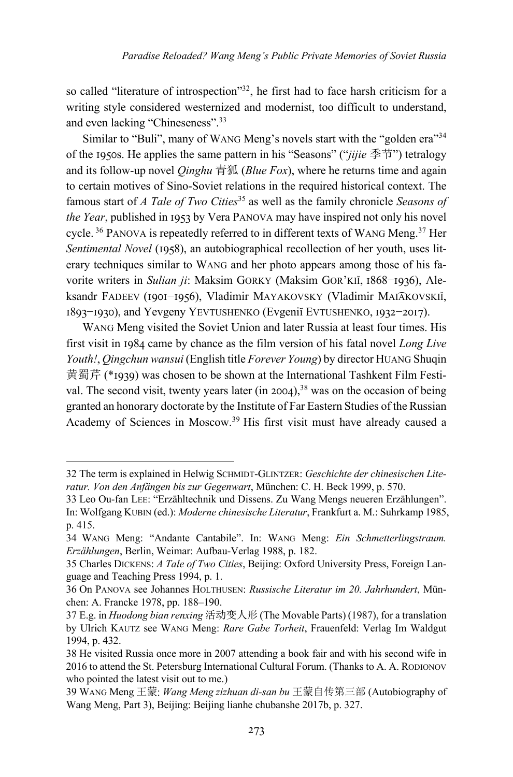so called "literature of introspection"<sup>32</sup>, he first had to face harsh criticism for a writing style considered westernized and modernist, too difficult to understand, and even lacking "Chineseness".33

Similar to "Buli", many of WANG Meng's novels start with the "golden era"<sup>34</sup> of the 1950s. He applies the same pattern in his "Seasons" ("*jijie* 季节") tetralogy and its follow-up novel *Qinghu* 青狐 (*Blue Fox*), where he returns time and again to certain motives of Sino-Soviet relations in the required historical context. The famous start of *A Tale of Two Cities*<sup>35</sup> as well as the family chronicle *Seasons of the Year*, published in 1953 by Vera PANOVA may have inspired not only his novel cycle.<sup>36</sup> PANOVA is repeatedly referred to in different texts of WANG Meng.<sup>37</sup> Her *Sentimental Novel* (1958), an autobiographical recollection of her youth, uses literary techniques similar to WANG and her photo appears among those of his favorite writers in *Sulian ji*: Maksim GORKY (Maksim GOR'KIĬ, 1868-1936), Aleksandr FADEEV (1901-1956), Vladimir MAYAKOVSKY (Vladimir MAIAKOVSKIĬ, I893−I930), and Yevgeny YEVTUSHENKO (Evgeniĭ EVTUSHENKO, 1932−2017).

WANG Meng visited the Soviet Union and later Russia at least four times. His first visit in 1984 came by chance as the film version of his fatal novel *Long Live Youth!*, *Qingchun wansui* (English title *Forever Young*) by director HUANG Shuqin 黄蜀芹 (\*1939) was chosen to be shown at the International Tashkent Film Festival. The second visit, twenty years later (in  $2004$ ),<sup>38</sup> was on the occasion of being granted an honorary doctorate by the Institute of Far Eastern Studies of the Russian Academy of Sciences in Moscow.<sup>39</sup> His first visit must have already caused a

<sup>32</sup> The term is explained in Helwig SCHMIDT-GLINTZER: *Geschichte der chinesischen Literatur. Von den Anfängen bis zur Gegenwart*, München: C. H. Beck 1999, p. 570.

<sup>33</sup> Leo Ou-fan LEE: "Erzähltechnik und Dissens. Zu Wang Mengs neueren Erzählungen". In: Wolfgang KUBIN (ed.): *Moderne chinesische Literatur*, Frankfurt a. M.: Suhrkamp 1985, p. 415.

<sup>34</sup> WANG Meng: "Andante Cantabile". In: WANG Meng: *Ein Schmetterlingstraum. Erzählungen*, Berlin, Weimar: Aufbau-Verlag 1988, p. 182.

<sup>35</sup> Charles DICKENS: *A Tale of Two Cities*, Beijing: Oxford University Press, Foreign Language and Teaching Press 1994, p. 1.

<sup>36</sup> On PANOVA see Johannes HOLTHUSEN: *Russische Literatur im 20. Jahrhundert*, München: A. Francke 1978, pp. 188–190.

<sup>37</sup> E.g. in *Huodong bian renxing* 活动变人形 (The Movable Parts) (1987), for a translation by Ulrich KAUTZ see WANG Meng: *Rare Gabe Torheit*, Frauenfeld: Verlag Im Waldgut 1994, p. 432.

<sup>38</sup> He visited Russia once more in 2007 attending a book fair and with his second wife in 2016 to attend the St. Petersburg International Cultural Forum. (Thanks to A. A. RODIONOV who pointed the latest visit out to me.)

<sup>39</sup> WANG Meng 王蒙: *Wang Meng zizhuan di-san bu* 王蒙自传第三部 (Autobiography of Wang Meng, Part 3), Beijing: Beijing lianhe chubanshe 2017b, p. 327.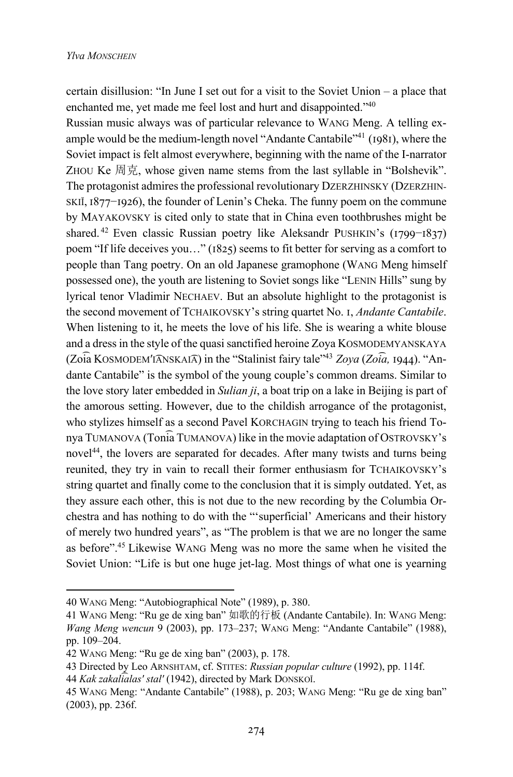certain disillusion: "In June I set out for a visit to the Soviet Union – a place that enchanted me, yet made me feel lost and hurt and disappointed."40

Russian music always was of particular relevance to WANG Meng. A telling example would be the medium-length novel "Andante Cantabile"<sup>41</sup> ( $1981$ ), where the Soviet impact is felt almost everywhere, beginning with the name of the I-narrator ZHOU Ke 周克, whose given name stems from the last syllable in "Bolshevik". The protagonist admires the professional revolutionary DZERZHINSKY (DZERZHIN-SKIĬ, 1877–1926), the founder of Lenin's Cheka. The funny poem on the commune by MAYAKOVSKY is cited only to state that in China even toothbrushes might be shared. <sup>42</sup> Even classic Russian poetry like Aleksandr PUSHKIN's (1799–1837) poem "If life deceives you..."  $(1825)$  seems to fit better for serving as a comfort to people than Tang poetry. On an old Japanese gramophone (WANG Meng himself possessed one), the youth are listening to Soviet songs like "LENIN Hills" sung by lyrical tenor Vladimir NECHAEV. But an absolute highlight to the protagonist is the second movement of TCHAIKOVSKY's string quartet No. I, *Andante Cantabile*. When listening to it, he meets the love of his life. She is wearing a white blouse and a dress in the style of the quasi sanctified heroine Zoya KOSMODEMYANSKAYA  $(Zoia Kosmoplem'IANSKAIA)$  in the "Stalinist fairy tale"<sup>43</sup> Zoya (Zoia, 1944). "Andante Cantabile" is the symbol of the young couple's common dreams. Similar to the love story later embedded in *Sulian ji*, a boat trip on a lake in Beijing is part of the amorous setting. However, due to the childish arrogance of the protagonist, who stylizes himself as a second Pavel KORCHAGIN trying to teach his friend Tonya TUMANOVA (Toni͡a TUMANOVA) like in the movie adaptation of OSTROVSKY's novel<sup>44</sup>, the lovers are separated for decades. After many twists and turns being reunited, they try in vain to recall their former enthusiasm for TCHAIKOVSKY's string quartet and finally come to the conclusion that it is simply outdated. Yet, as they assure each other, this is not due to the new recording by the Columbia Orchestra and has nothing to do with the "'superficial' Americans and their history of merely two hundred years", as "The problem is that we are no longer the same as before".45 Likewise WANG Meng was no more the same when he visited the Soviet Union: "Life is but one huge jet-lag. Most things of what one is yearning

<sup>40</sup> WANG Meng: "Autobiographical Note" (1989), p. 380.

<sup>41</sup> WANG Meng: "Ru ge de xing ban" 如歌的行板 (Andante Cantabile). In: WANG Meng: *Wang Meng wencun* 9 (2003), pp. 173–237; WANG Meng: "Andante Cantabile" (1988), pp. 109–204.

<sup>42</sup> WANG Meng: "Ru ge de xing ban" (2003), p. 178.

<sup>43</sup> Directed by Leo ARNSHTAM, cf. STITES: *Russian popular culture* (1992), pp. 114f.

<sup>44</sup> *Kak zakali͡alasʹ stalʹ* (1942), directed by Mark DONSKOĬ.

<sup>45</sup> WANG Meng: "Andante Cantabile" (1988), p. 203; WANG Meng: "Ru ge de xing ban" (2003), pp. 236f.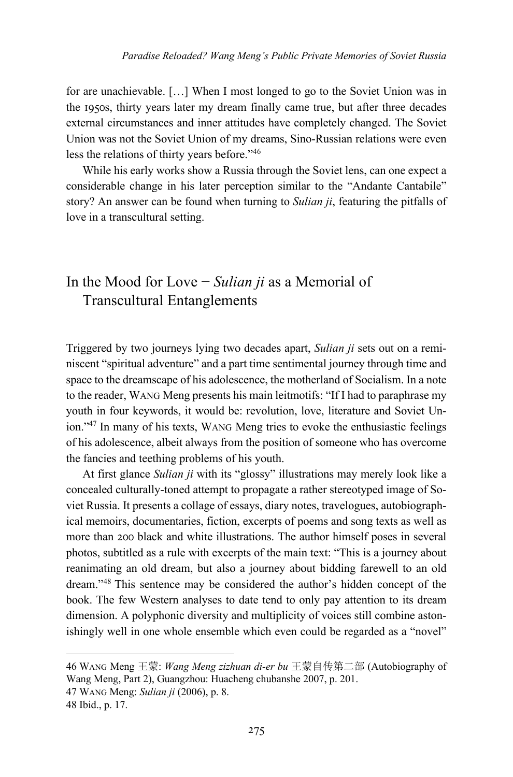for are unachievable. […] When I most longed to go to the Soviet Union was in the 1950s, thirty years later my dream finally came true, but after three decades external circumstances and inner attitudes have completely changed. The Soviet Union was not the Soviet Union of my dreams, Sino-Russian relations were even less the relations of thirty years before."<sup>46</sup>

While his early works show a Russia through the Soviet lens, can one expect a considerable change in his later perception similar to the "Andante Cantabile" story? An answer can be found when turning to *Sulian ji*, featuring the pitfalls of love in a transcultural setting.

### In the Mood for Love − *Sulian ji* as a Memorial of Transcultural Entanglements

Triggered by two journeys lying two decades apart, *Sulian ji* sets out on a reminiscent "spiritual adventure" and a part time sentimental journey through time and space to the dreamscape of his adolescence, the motherland of Socialism. In a note to the reader, WANG Meng presents his main leitmotifs: "If I had to paraphrase my youth in four keywords, it would be: revolution, love, literature and Soviet Union."47 In many of his texts, WANG Meng tries to evoke the enthusiastic feelings of his adolescence, albeit always from the position of someone who has overcome the fancies and teething problems of his youth.

At first glance *Sulian ji* with its "glossy" illustrations may merely look like a concealed culturally-toned attempt to propagate a rather stereotyped image of Soviet Russia. It presents a collage of essays, diary notes, travelogues, autobiographical memoirs, documentaries, fiction, excerpts of poems and song texts as well as more than 200 black and white illustrations. The author himself poses in several photos, subtitled as a rule with excerpts of the main text: "This is a journey about reanimating an old dream, but also a journey about bidding farewell to an old dream."48 This sentence may be considered the author's hidden concept of the book. The few Western analyses to date tend to only pay attention to its dream dimension. A polyphonic diversity and multiplicity of voices still combine astonishingly well in one whole ensemble which even could be regarded as a "novel"

<sup>46</sup> WANG Meng 王蒙: *Wang Meng zizhuan di-er bu* 王蒙自传第二部 (Autobiography of Wang Meng, Part 2), Guangzhou: Huacheng chubanshe 2007, p. 201.

<sup>47</sup> WANG Meng: *Sulian ji* (2006), p. 8.

<sup>48</sup> Ibid., p. 17.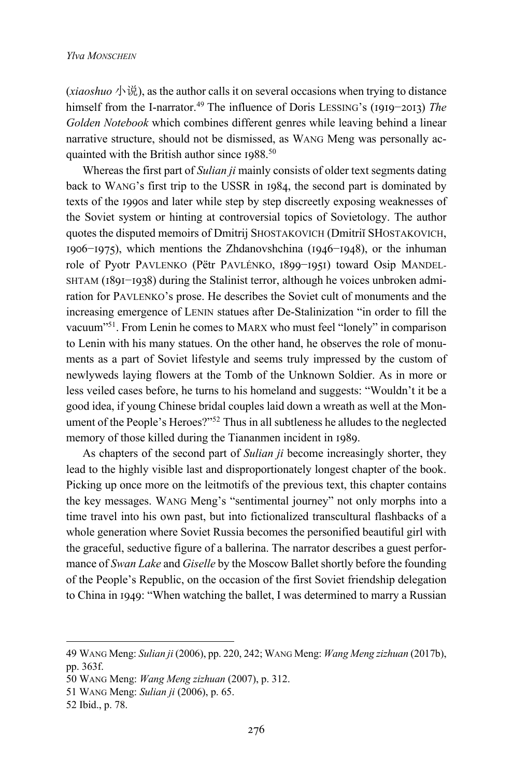$(xiaoshuo \psi \ddot{\theta})$ , as the author calls it on several occasions when trying to distance himself from the I-narrator.<sup>49</sup> The influence of Doris LESSING's (1919–2013) *The Golden Notebook* which combines different genres while leaving behind a linear narrative structure, should not be dismissed, as WANG Meng was personally acquainted with the British author since  $1988$ .<sup>50</sup>

Whereas the first part of *Sulian ji* mainly consists of older text segments dating back to WANG's first trip to the USSR in 1984, the second part is dominated by texts of the 1990s and later while step by step discreetly exposing weaknesses of the Soviet system or hinting at controversial topics of Sovietology. The author quotes the disputed memoirs of Dmitrij SHOSTAKOVICH (Dmitriĭ SHOSTAKOVICH, I906–I975), which mentions the Zhdanovshchina (I946–I948), or the inhuman role of Pyotr PAVLENKO (Pëtr PAVLÉNKO, 1899–1951) toward Osip MANDEL-SHTAM (1891–1938) during the Stalinist terror, although he voices unbroken admiration for PAVLENKO's prose. He describes the Soviet cult of monuments and the increasing emergence of LENIN statues after De-Stalinization "in order to fill the vacuum"51. From Lenin he comes to MARX who must feel "lonely" in comparison to Lenin with his many statues. On the other hand, he observes the role of monuments as a part of Soviet lifestyle and seems truly impressed by the custom of newlyweds laying flowers at the Tomb of the Unknown Soldier. As in more or less veiled cases before, he turns to his homeland and suggests: "Wouldn't it be a good idea, if young Chinese bridal couples laid down a wreath as well at the Monument of the People's Heroes?"52 Thus in all subtleness he alludes to the neglected memory of those killed during the Tiananmen incident in 1989.

As chapters of the second part of *Sulian ji* become increasingly shorter, they lead to the highly visible last and disproportionately longest chapter of the book. Picking up once more on the leitmotifs of the previous text, this chapter contains the key messages. WANG Meng's "sentimental journey" not only morphs into a time travel into his own past, but into fictionalized transcultural flashbacks of a whole generation where Soviet Russia becomes the personified beautiful girl with the graceful, seductive figure of a ballerina. The narrator describes a guest performance of *Swan Lake* and *Giselle* by the Moscow Ballet shortly before the founding of the People's Republic, on the occasion of the first Soviet friendship delegation to China in 1949: "When watching the ballet, I was determined to marry a Russian

<sup>49</sup> WANG Meng: *Sulian ji* (2006), pp. 220, 242; WANG Meng: *Wang Meng zizhuan* (2017b), pp. 363f.

<sup>50</sup> WANG Meng: *Wang Meng zizhuan* (2007), p. 312.

<sup>51</sup> WANG Meng: *Sulian ji* (2006), p. 65.

<sup>52</sup> Ibid., p. 78.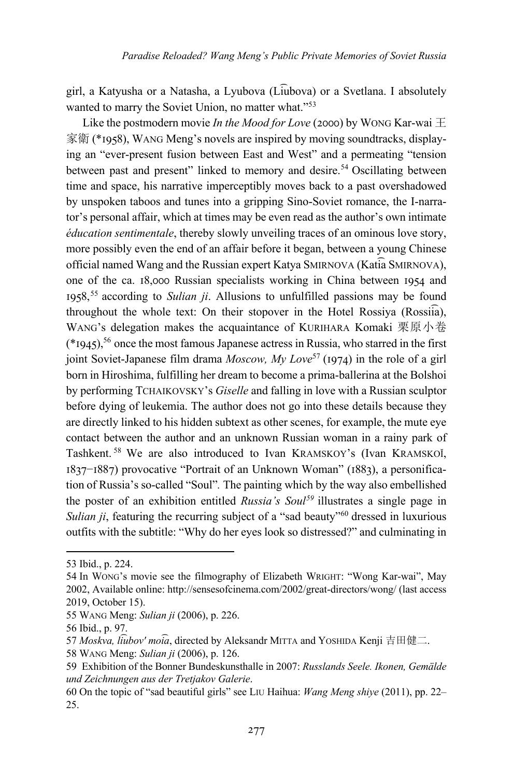girl, a Katyusha or a Natasha, a Lyubova (Li͡ubova) or a Svetlana. I absolutely wanted to marry the Soviet Union, no matter what."<sup>53</sup>

Like the postmodern movie *In the Mood for Love* (2000) by WONG Kar-wai  $\pm$ 家衛 (\*1958), WANG Meng's novels are inspired by moving soundtracks, displaying an "ever-present fusion between East and West" and a permeating "tension between past and present" linked to memory and desire.<sup>54</sup> Oscillating between time and space, his narrative imperceptibly moves back to a past overshadowed by unspoken taboos and tunes into a gripping Sino-Soviet romance, the I-narrator's personal affair, which at times may be even read as the author's own intimate *éducation sentimentale*, thereby slowly unveiling traces of an ominous love story, more possibly even the end of an affair before it began, between a young Chinese official named Wang and the Russian expert Katya SMIRNOVA (Kati͡a SMIRNOVA), one of the ca.  $18,000$  Russian specialists working in China between  $1954$  and 1958,<sup>55</sup> according to *Sulian ji*. Allusions to unfulfilled passions may be found throughout the whole text: On their stopover in the Hotel Rossiya (Rossii͡a), WANG's delegation makes the acquaintance of KURIHARA Komaki 栗原小卷  $(*1945)$ <sup>56</sup> once the most famous Japanese actress in Russia, who starred in the first joint Soviet-Japanese film drama *Moscow, My Love*<sup>57</sup> (1974) in the role of a girl born in Hiroshima, fulfilling her dream to become a prima-ballerina at the Bolshoi by performing TCHAIKOVSKY's *Giselle* and falling in love with a Russian sculptor before dying of leukemia. The author does not go into these details because they are directly linked to his hidden subtext as other scenes, for example, the mute eye contact between the author and an unknown Russian woman in a rainy park of Tashkent. <sup>58</sup> We are also introduced to Ivan KRAMSKOY's (Ivan KRAMSKOĬ, I837–I887) provocative "Portrait of an Unknown Woman" (1883), a personification of Russia's so-called "Soul"*.* The painting which by the way also embellished the poster of an exhibition entitled *Russia's Soul59* illustrates a single page in *Sulian ji*, featuring the recurring subject of a "sad beauty"<sup>60</sup> dressed in luxurious outfits with the subtitle: "Why do her eyes look so distressed?" and culminating in

<sup>53</sup> Ibid., p. 224.

<sup>54</sup> In WONG's movie see the filmography of Elizabeth WRIGHT: "Wong Kar-wai", May 2002, Available online: http://sensesofcinema.com/2002/great-directors/wong/ (last access 2019, October 15).

<sup>55</sup> WANG Meng: *Sulian ji* (2006), p. 226.

<sup>56</sup> Ibid., p. 97.

<sup>57</sup> *Moskva, li͡ubovʹ moi͡a*, directed by Aleksandr MITTA and YOSHIDA Kenji 吉田健二.

<sup>58</sup> WANG Meng: *Sulian ji* (2006), p. 126.

<sup>59</sup> Exhibition of the Bonner Bundeskunsthalle in 2007: *Russlands Seele. Ikonen, Gemälde und Zeichnungen aus der Tretjakov Galerie*.

<sup>60</sup> On the topic of "sad beautiful girls" see LIU Haihua: *Wang Meng shiye* (2011), pp. 22– 25.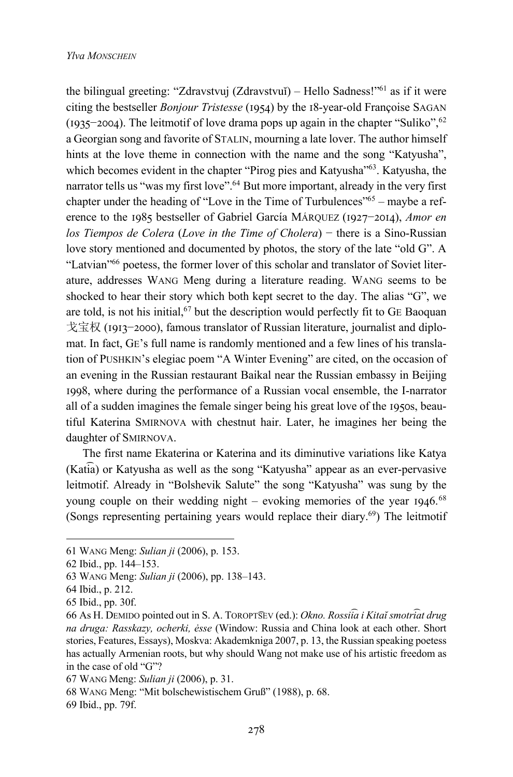the bilingual greeting: "Zdravstvuj (Zdravstvuĭ) – Hello Sadness!"<sup>61</sup> as if it were citing the bestseller *Bonjour Tristesse* (1954) by the 18-year-old Françoise SAGAN (1935–2004). The leitmotif of love drama pops up again in the chapter "Suliko",<sup>62</sup> a Georgian song and favorite of STALIN, mourning a late lover. The author himself hints at the love theme in connection with the name and the song "Katyusha", which becomes evident in the chapter "Pirog pies and Katyusha"<sup>63</sup>. Katyusha, the narrator tells us "was my first love".<sup>64</sup> But more important, already in the very first chapter under the heading of "Love in the Time of Turbulences"<sup>65</sup> – maybe a reference to the 1985 bestseller of Gabriel García MÁRQUEZ (1927–2014), *Amor en los Tiempos de Colera* (*Love in the Time of Cholera*) − there is a Sino-Russian love story mentioned and documented by photos, the story of the late "old G". A "Latvian"66 poetess, the former lover of this scholar and translator of Soviet literature, addresses WANG Meng during a literature reading. WANG seems to be shocked to hear their story which both kept secret to the day. The alias "G", we are told, is not his initial,  $67$  but the description would perfectly fit to GE Baoquan 戈宝权 (1913−2000), famous translator of Russian literature, journalist and diplomat. In fact, GE's full name is randomly mentioned and a few lines of his translation of PUSHKIN's elegiac poem "A Winter Evening" are cited, on the occasion of an evening in the Russian restaurant Baikal near the Russian embassy in Beijing 1998, where during the performance of a Russian vocal ensemble, the I-narrator all of a sudden imagines the female singer being his great love of the 1950s, beautiful Katerina SMIRNOVA with chestnut hair. Later, he imagines her being the daughter of SMIRNOVA.

The first name Ekaterina or Katerina and its diminutive variations like Katya (Kati͡a) or Katyusha as well as the song "Katyusha" appear as an ever-pervasive leitmotif. Already in "Bolshevik Salute" the song "Katyusha" was sung by the young couple on their wedding night – evoking memories of the year  $1946.68$ (Songs representing pertaining years would replace their diary.<sup>69</sup>) The leitmotif

<sup>61</sup> WANG Meng: *Sulian ji* (2006), p. 153.

<sup>62</sup> Ibid., pp. 144–153.

<sup>63</sup> WANG Meng: *Sulian ji* (2006), pp. 138–143.

<sup>64</sup> Ibid., p. 212.

<sup>65</sup> Ibid., pp. 30f.

<sup>66</sup> As Н. DEMIDO pointed out in S. А. TOROPT͡SEV (ed.): *Okno. Rossii͡a i Kitaĭ smotri͡at drug na druga: Rasskazy, ocherki, ėsse* (Window: Russia and China look at each other. Short stories, Features, Essays), Moskva: Akademkniga 2007, p. 13, the Russian speaking poetess has actually Armenian roots, but why should Wang not make use of his artistic freedom as in the case of old "G"?

<sup>67</sup> WANG Meng: *Sulian ji* (2006), p. 31.

<sup>68</sup> WANG Meng: "Mit bolschewistischem Gruß" (1988), p. 68.

<sup>69</sup> Ibid., pp. 79f.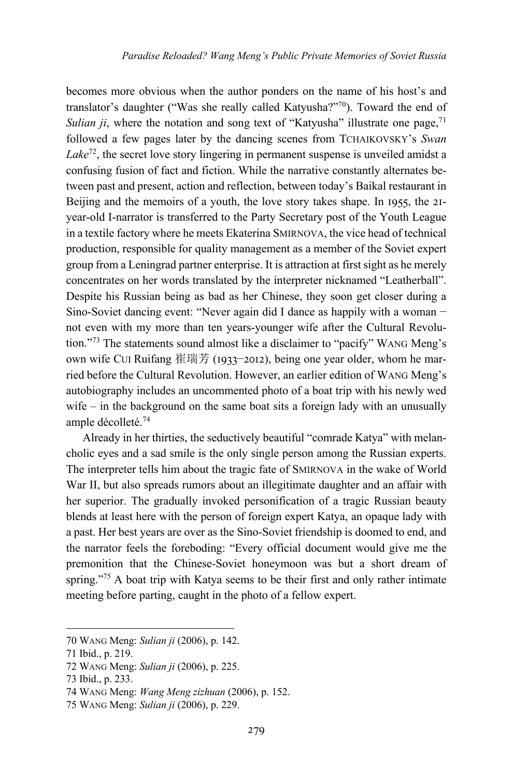becomes more obvious when the author ponders on the name of his host's and translator's daughter ("Was she really called Katyusha?"70). Toward the end of *Sulian ji*, where the notation and song text of "Katyusha" illustrate one page,  $71$ followed a few pages later by the dancing scenes from TCHAIKOVSKY's *Swan Lake*72, the secret love story lingering in permanent suspense is unveiled amidst a confusing fusion of fact and fiction. While the narrative constantly alternates between past and present, action and reflection, between today's Baikal restaurant in Beijing and the memoirs of a youth, the love story takes shape. In 1955, the  $2I$ year-old I-narrator is transferred to the Party Secretary post of the Youth League in a textile factory where he meets Ekaterina SMIRNOVA, the vice head of technical production, responsible for quality management as a member of the Soviet expert group from a Leningrad partner enterprise. It is attraction at first sight as he merely concentrates on her words translated by the interpreter nicknamed "Leatherball". Despite his Russian being as bad as her Chinese, they soon get closer during a Sino-Soviet dancing event: "Never again did I dance as happily with a woman − not even with my more than ten years-younger wife after the Cultural Revolution."73 The statements sound almost like a disclaimer to "pacify" WANG Meng's own wife CUI Ruifang 崔瑞芳 (1933–2012), being one year older, whom he married before the Cultural Revolution. However, an earlier edition of WANG Meng's autobiography includes an uncommented photo of a boat trip with his newly wed wife – in the background on the same boat sits a foreign lady with an unusually ample décolleté.74

Already in her thirties, the seductively beautiful "comrade Katya" with melancholic eyes and a sad smile is the only single person among the Russian experts. The interpreter tells him about the tragic fate of SMIRNOVA in the wake of World War II, but also spreads rumors about an illegitimate daughter and an affair with her superior. The gradually invoked personification of a tragic Russian beauty blends at least here with the person of foreign expert Katya, an opaque lady with a past. Her best years are over as the Sino-Soviet friendship is doomed to end, and the narrator feels the foreboding: "Every official document would give me the premonition that the Chinese-Soviet honeymoon was but a short dream of spring. $175$  A boat trip with Katya seems to be their first and only rather intimate meeting before parting, caught in the photo of a fellow expert.

<sup>70</sup> WANG Meng: *Sulian ji* (2006), p. 142.

<sup>71</sup> Ibid., p. 219.

<sup>72</sup> WANG Meng: *Sulian ji* (2006), p. 225.

<sup>73</sup> Ibid., p. 233.

<sup>74</sup> WANG Meng: *Wang Meng zizhuan* (2006), p. 152.

<sup>75</sup> WANG Meng: *Sulian ji* (2006), p. 229.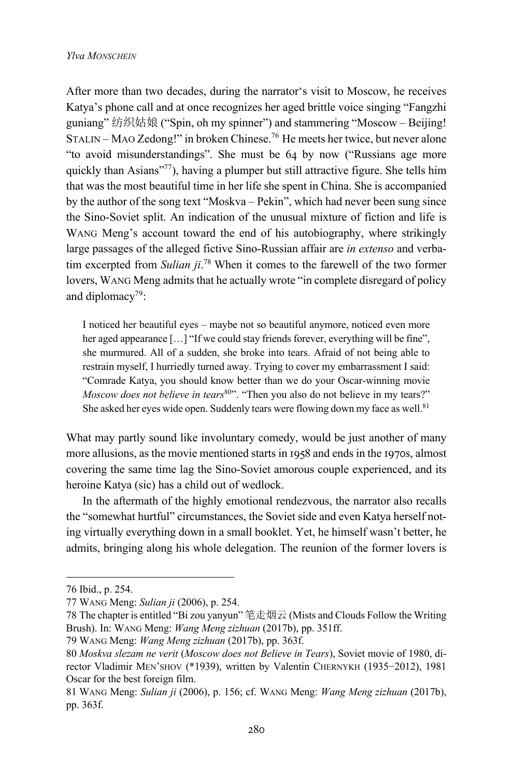After more than two decades, during the narrator's visit to Moscow, he receives Katya's phone call and at once recognizes her aged brittle voice singing "Fangzhi guniang" 纺织姑娘 ("Spin, oh my spinner") and stammering "Moscow – Beijing! STALIN – MAO Zedong!" in broken Chinese.76 He meets her twice, but never alone "to avoid misunderstandings". She must be  $64$  by now ("Russians age more quickly than Asians"77), having a plumper but still attractive figure. She tells him that was the most beautiful time in her life she spent in China. She is accompanied by the author of the song text "Moskva – Pekin", which had never been sung since the Sino-Soviet split. An indication of the unusual mixture of fiction and life is WANG Meng's account toward the end of his autobiography, where strikingly large passages of the alleged fictive Sino-Russian affair are *in extenso* and verbatim excerpted from *Sulian ji*. <sup>78</sup> When it comes to the farewell of the two former lovers, WANG Meng admits that he actually wrote "in complete disregard of policy and diplomacy<sup>79</sup>:

I noticed her beautiful eyes – maybe not so beautiful anymore, noticed even more her aged appearance [...] "If we could stay friends forever, everything will be fine", she murmured. All of a sudden, she broke into tears. Afraid of not being able to restrain myself, I hurriedly turned away. Trying to cover my embarrassment I said: "Comrade Katya, you should know better than we do your Oscar-winning movie *Moscow does not believe in tears*<sup>80</sup>". "Then you also do not believe in my tears?" She asked her eyes wide open. Suddenly tears were flowing down my face as well.<sup>81</sup>

What may partly sound like involuntary comedy, would be just another of many more allusions, as the movie mentioned starts in 1958 and ends in the 1970s, almost covering the same time lag the Sino-Soviet amorous couple experienced, and its heroine Katya (sic) has a child out of wedlock.

In the aftermath of the highly emotional rendezvous, the narrator also recalls the "somewhat hurtful" circumstances, the Soviet side and even Katya herself noting virtually everything down in a small booklet. Yet, he himself wasn't better, he admits, bringing along his whole delegation. The reunion of the former lovers is

<sup>76</sup> Ibid., p. 254.

<sup>77</sup> WANG Meng: *Sulian ji* (2006), p. 254.

<sup>78</sup> The chapter is entitled "Bi zou yanyun" 笔走烟云 (Mists and Clouds Follow the Writing Brush). In: WANG Meng: *Wang Meng zizhuan* (2017b), pp. 351ff.

<sup>79</sup> WANG Meng: *Wang Meng zizhuan* (2017b), pp. 363f.

<sup>80</sup> *Moskva slezam ne verit* (*Moscow does not Believe in Tears*), Soviet movie of 1980, director Vladimir MEN'SHOV (\*1939), written by Valentin CHERNYKH (1935−2012), 1981 Oscar for the best foreign film.

<sup>81</sup> WANG Meng: *Sulian ji* (2006), p. 156; cf. WANG Meng: *Wang Meng zizhuan* (2017b), pp. 363f.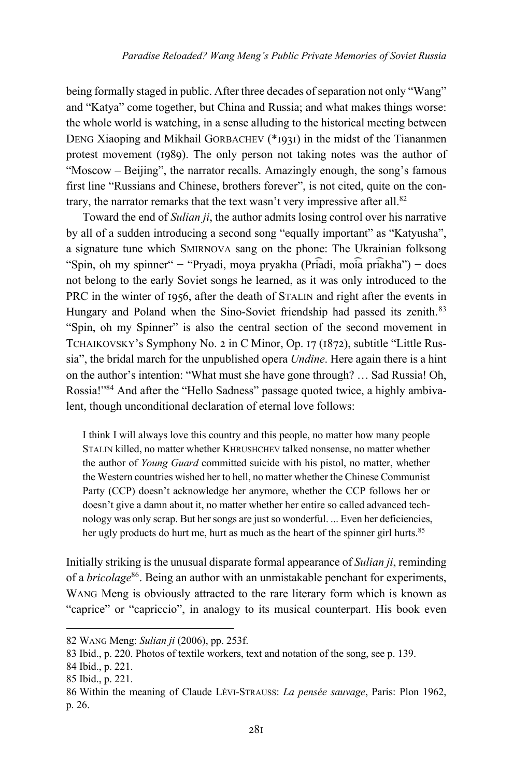being formally staged in public. After three decades of separation not only "Wang" and "Katya" come together, but China and Russia; and what makes things worse: the whole world is watching, in a sense alluding to the historical meeting between DENG Xiaoping and Mikhail GORBACHEV ( $*$ 1931) in the midst of the Tiananmen protest movement ( $1989$ ). The only person not taking notes was the author of "Moscow – Beijing", the narrator recalls. Amazingly enough, the song's famous first line "Russians and Chinese, brothers forever", is not cited, quite on the contrary, the narrator remarks that the text wasn't very impressive after all. $82$ 

Toward the end of *Sulian ji*, the author admits losing control over his narrative by all of a sudden introducing a second song "equally important" as "Katyusha", a signature tune which SMIRNOVA sang on the phone: The Ukrainian folksong "Spin, oh my spinner" − "Pryadi, moya pryakha (Pri͡adi, moi͡a pri͡akha") − does not belong to the early Soviet songs he learned, as it was only introduced to the PRC in the winter of 1956, after the death of STALIN and right after the events in Hungary and Poland when the Sino-Soviet friendship had passed its zenith.<sup>83</sup> "Spin, oh my Spinner" is also the central section of the second movement in TCHAIKOVSKY's Symphony No. 2 in C Minor, Op. 17 (1872), subtitle "Little Russia", the bridal march for the unpublished opera *Undine*. Here again there is a hint on the author's intention: "What must she have gone through? … Sad Russia! Oh, Rossia!"84 And after the "Hello Sadness" passage quoted twice, a highly ambivalent, though unconditional declaration of eternal love follows:

I think I will always love this country and this people, no matter how many people STALIN killed, no matter whether KHRUSHCHEV talked nonsense, no matter whether the author of *Young Guard* committed suicide with his pistol, no matter, whether the Western countries wished her to hell, no matter whether the Chinese Communist Party (CCP) doesn't acknowledge her anymore, whether the CCP follows her or doesn't give a damn about it, no matter whether her entire so called advanced technology was only scrap. But her songs are just so wonderful. ... Even her deficiencies, her ugly products do hurt me, hurt as much as the heart of the spinner girl hurts.<sup>85</sup>

Initially striking is the unusual disparate formal appearance of *Sulian ji*, reminding of a *bricolage*<sup>86</sup>. Being an author with an unmistakable penchant for experiments, WANG Meng is obviously attracted to the rare literary form which is known as "caprice" or "capriccio", in analogy to its musical counterpart. His book even

<sup>82</sup> WANG Meng: *Sulian ji* (2006), pp. 253f.

<sup>83</sup> Ibid., p. 220. Photos of textile workers, text and notation of the song, see p. 139.

<sup>84</sup> Ibid., p. 221.

<sup>85</sup> Ibid., p. 221.

<sup>86</sup> Within the meaning of Claude LÉVI-STRAUSS: *La pensée sauvage*, Paris: Plon 1962, p. 26.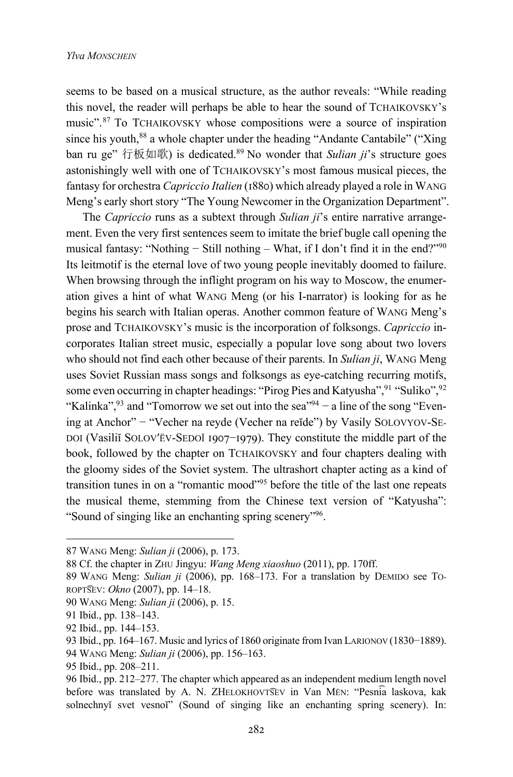seems to be based on a musical structure, as the author reveals: "While reading this novel, the reader will perhaps be able to hear the sound of TCHAIKOVSKY's music".<sup>87</sup> To TCHAIKOVSKY whose compositions were a source of inspiration since his youth,<sup>88</sup> a whole chapter under the heading "Andante Cantabile" ("Xing") ban ru ge" 行板如歌) is dedicated.89 No wonder that *Sulian ji*'s structure goes astonishingly well with one of TCHAIKOVSKY's most famous musical pieces, the fantasy for orchestra *Capriccio Italien* (1880) which already played a role in WANG Meng's early short story "The Young Newcomer in the Organization Department".

The *Capriccio* runs as a subtext through *Sulian ji*'s entire narrative arrangement. Even the very first sentences seem to imitate the brief bugle call opening the musical fantasy: "Nothing − Still nothing – What, if I don't find it in the end?"90 Its leitmotif is the eternal love of two young people inevitably doomed to failure. When browsing through the inflight program on his way to Moscow, the enumeration gives a hint of what WANG Meng (or his I-narrator) is looking for as he begins his search with Italian operas. Another common feature of WANG Meng's prose and TCHAIKOVSKY's music is the incorporation of folksongs. *Capriccio* incorporates Italian street music, especially a popular love song about two lovers who should not find each other because of their parents. In *Sulian ji*, WANG Meng uses Soviet Russian mass songs and folksongs as eye-catching recurring motifs, some even occurring in chapter headings: "Pirog Pies and Katyusha", 91 "Suliko", 92 "Kalinka",<sup>93</sup> and "Tomorrow we set out into the sea"<sup>94</sup> – a line of the song "Evening at Anchor" − "Vecher na reyde (Vecher na reĭde") by Vasily SOLOVYOV-SE-DOI (Vasiliĭ SOLOV'ËV-SEDOĬ 1907–1979). They constitute the middle part of the book, followed by the chapter on TCHAIKOVSKY and four chapters dealing with the gloomy sides of the Soviet system. The ultrashort chapter acting as a kind of transition tunes in on a "romantic mood"95 before the title of the last one repeats the musical theme, stemming from the Chinese text version of "Katyusha": "Sound of singing like an enchanting spring scenery"96.

<sup>87</sup> WANG Meng: *Sulian ji* (2006), p. 173.

<sup>88</sup> Cf. the chapter in ZHU Jingyu: *Wang Meng xiaoshuo* (2011), pp. 170ff.

<sup>89</sup> WANG Meng: *Sulian ji* (2006), pp. 168–173. For a translation by DEMIDO see TO-ROPT͡SEV: *Okno* (2007), pp. 14–18.

<sup>90</sup> WANG Meng: *Sulian ji* (2006), p. 15.

<sup>91</sup> Ibid., pp. 138–143.

<sup>92</sup> Ibid., pp. 144–153.

<sup>93</sup> Ibid., pp. 164–167. Music and lyrics of 1860 originate from Ivan LARIONOV (1830−1889).

<sup>94</sup> WANG Meng: *Sulian ji* (2006), pp. 156–163.

<sup>95</sup> Ibid., pp. 208–211.

<sup>96</sup> Ibid., pp. 212–277. The chapter which appeared as an independent medium length novel before was translated by A. N. ZHELOKHOVT͡SEV in Van MĖN: "Pesni͡a laskova, kak solnechnyĭ svet vesnoï" (Sound of singing like an enchanting spring scenery). In: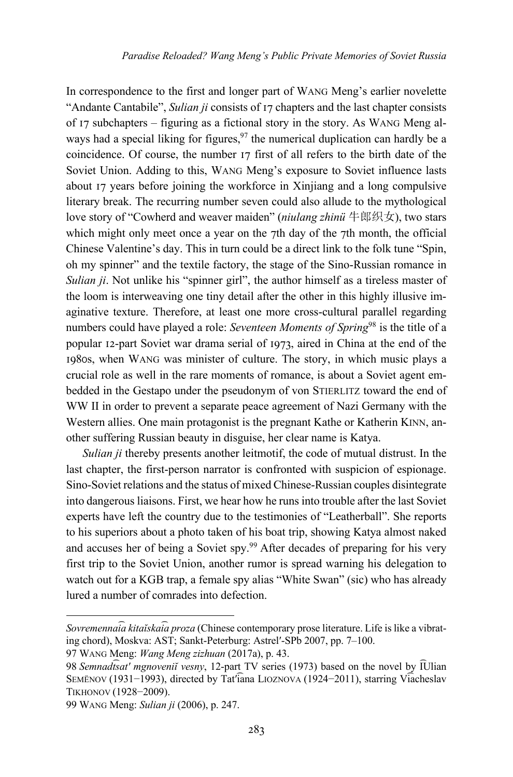In correspondence to the first and longer part of WANG Meng's earlier novelette "Andante Cantabile", *Sulian ji* consists of 17 chapters and the last chapter consists of  $17$  subchapters – figuring as a fictional story in the story. As WANG Meng always had a special liking for figures,  $97$  the numerical duplication can hardly be a coincidence. Of course, the number 17 first of all refers to the birth date of the Soviet Union. Adding to this, WANG Meng's exposure to Soviet influence lasts about 17 years before joining the workforce in Xinjiang and a long compulsive literary break. The recurring number seven could also allude to the mythological love story of "Cowherd and weaver maiden" (*niulang zhinü* 牛郎织女), two stars which might only meet once a year on the  $7th$  day of the  $7th$  month, the official Chinese Valentine's day. This in turn could be a direct link to the folk tune "Spin, oh my spinner" and the textile factory, the stage of the Sino-Russian romance in *Sulian ji*. Not unlike his "spinner girl", the author himself as a tireless master of the loom is interweaving one tiny detail after the other in this highly illusive imaginative texture. Therefore, at least one more cross-cultural parallel regarding numbers could have played a role: *Seventeen Moments of Spring*<sup>98</sup> is the title of a popular 12-part Soviet war drama serial of 1973, aired in China at the end of the 1980s, when WANG was minister of culture. The story, in which music plays a crucial role as well in the rare moments of romance, is about a Soviet agent embedded in the Gestapo under the pseudonym of von STIERLITZ toward the end of WW II in order to prevent a separate peace agreement of Nazi Germany with the Western allies. One main protagonist is the pregnant Kathe or Katherin KINN, another suffering Russian beauty in disguise, her clear name is Katya.

*Sulian ji* thereby presents another leitmotif, the code of mutual distrust. In the last chapter, the first-person narrator is confronted with suspicion of espionage. Sino-Soviet relations and the status of mixed Chinese-Russian couples disintegrate into dangerous liaisons. First, we hear how he runs into trouble after the last Soviet experts have left the country due to the testimonies of "Leatherball". She reports to his superiors about a photo taken of his boat trip, showing Katya almost naked and accuses her of being a Soviet spy.99 After decades of preparing for his very first trip to the Soviet Union, another rumor is spread warning his delegation to watch out for a KGB trap, a female spy alias "White Swan" (sic) who has already lured a number of comrades into defection.

99 WANG Meng: *Sulian ji* (2006), p. 247.

*Sovremennai͡a kitaĭskai͡a proza* (Chinese contemporary prose literature. Life is like a vibrating chord), Мoskva: АSТ; Sankt-Peterburg: Astrelʹ-SPb 2007, pp. 7–100.

<sup>97</sup> WANG Meng: *Wang Meng zizhuan* (2017a), p. 43.

<sup>98</sup> *Semnadt͡satʹ mgnoveniĭ vesny*, 12-part TV series (1973) based on the novel by I ͡Ulian SEMËNOV (1931−1993), directed by Tatʹi͡ana LIOZNOVA (1924−2011), starring Vi͡acheslav TIKHONOV (1928−2009).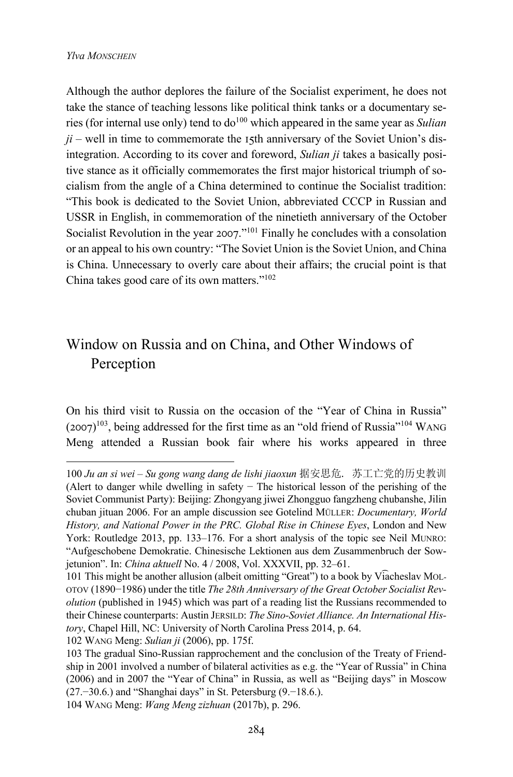Although the author deplores the failure of the Socialist experiment, he does not take the stance of teaching lessons like political think tanks or a documentary series (for internal use only) tend to do<sup>100</sup> which appeared in the same year as *Sulian*  $ji$  – well in time to commemorate the 15th anniversary of the Soviet Union's disintegration. According to its cover and foreword, *Sulian ji* takes a basically positive stance as it officially commemorates the first major historical triumph of socialism from the angle of a China determined to continue the Socialist tradition: "This book is dedicated to the Soviet Union, abbreviated CCCP in Russian and USSR in English, in commemoration of the ninetieth anniversary of the October Socialist Revolution in the year  $2007$ ."<sup>101</sup> Finally he concludes with a consolation or an appeal to his own country: "The Soviet Union is the Soviet Union, and China is China. Unnecessary to overly care about their affairs; the crucial point is that China takes good care of its own matters."102

## Window on Russia and on China, and Other Windows of Perception

On his third visit to Russia on the occasion of the "Year of China in Russia"  $(2007)^{103}$ , being addressed for the first time as an "old friend of Russia"<sup>104</sup> WANG Meng attended a Russian book fair where his works appeared in three

<sup>100</sup> *Ju an si wei – Su gong wang dang de lishi jiaoxun* 据安思危. 苏工亡党的历史教训 (Alert to danger while dwelling in safety − The historical lesson of the perishing of the Soviet Communist Party): Beijing: Zhongyang jiwei Zhongguo fangzheng chubanshe, Jilin chuban jituan 2006. For an ample discussion see Gotelind MÜLLER: *Documentary, World History, and National Power in the PRC. Global Rise in Chinese Eyes*, London and New York: Routledge 2013, pp. 133–176. For a short analysis of the topic see Neil MUNRO: "Aufgeschobene Demokratie. Chinesische Lektionen aus dem Zusammenbruch der Sowjetunion". In: *China aktuell* No. 4 / 2008, Vol. XXXVII, pp. 32–61.

<sup>101</sup> This might be another allusion (albeit omitting "Great") to a book by Vi͡acheslav MOL-OTOV (1890−1986) under the title *The 28th Anniversary of the Great October Socialist Revolution* (published in 1945) which was part of a reading list the Russians recommended to their Chinese counterparts: Austin JERSILD: *The Sino-Soviet Alliance. An International History*, Chapel Hill, NC: University of North Carolina Press 2014, p. 64. 102 WANG Meng: *Sulian ji* (2006), pp. 175f.

<sup>103</sup> The gradual Sino-Russian rapprochement and the conclusion of the Treaty of Friendship in 2001 involved a number of bilateral activities as e.g. the "Year of Russia" in China (2006) and in 2007 the "Year of China" in Russia, as well as "Beijing days" in Moscow (27.−30.6.) and "Shanghai days" in St. Petersburg (9.−18.6.).

<sup>104</sup> WANG Meng: *Wang Meng zizhuan* (2017b), p. 296.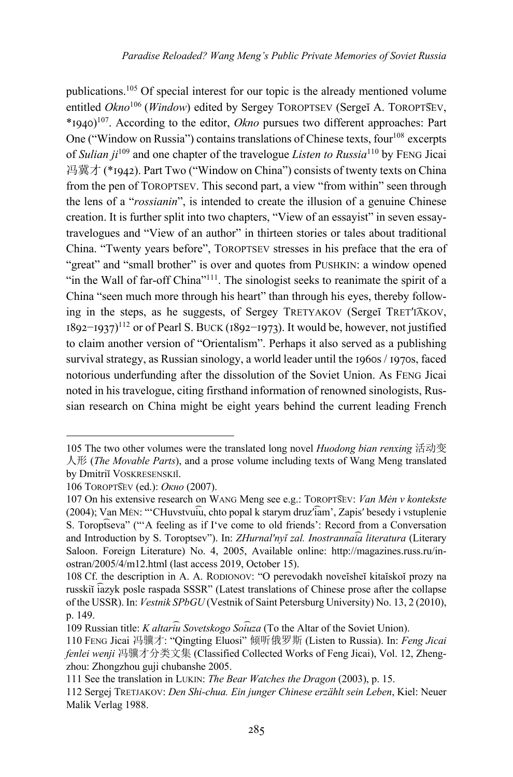publications.105 Of special interest for our topic is the already mentioned volume entitled *Okno*106 (*Window*) edited by Sergey TOROPTSEV (Sergeĭ А. TOROPT͡SEV, \*LRQS)107. According to the editor, *Okno* pursues two different approaches: Part One ("Window on Russia") contains translations of Chinese texts, four  $108$  excerpts of *Sulian ji*<sup>109</sup> and one chapter of the travelogue *Listen to Russia*<sup>110</sup> by FENG Jicai 冯冀才 (\*1942). Part Two ("Window on China") consists of twenty texts on China from the pen of TOROPTSEV. This second part, a view "from within" seen through the lens of a "*rossianin*", is intended to create the illusion of a genuine Chinese creation. It is further split into two chapters, "View of an essayist" in seven essaytravelogues and "View of an author" in thirteen stories or tales about traditional China. "Twenty years before", TOROPTSEV stresses in his preface that the era of "great" and "small brother" is over and quotes from PUSHKIN: a window opened "in the Wall of far-off China"<sup>111</sup>. The sinologist seeks to reanimate the spirit of a China "seen much more through his heart" than through his eyes, thereby following in the steps, as he suggests, of Sergey TRETYAKOV (Sergeĭ TRETʹI͡AKOV,  $1892$ −1937)<sup>112</sup> or of Pearl S. BUCK (1892−1973). It would be, however, not justified to claim another version of "Orientalism". Perhaps it also served as a publishing survival strategy, as Russian sinology, a world leader until the  $1960s / 1970s$ , faced notorious underfunding after the dissolution of the Soviet Union. As FENG Jicai noted in his travelogue, citing firsthand information of renowned sinologists, Russian research on China might be eight years behind the current leading French

<sup>105</sup> The two other volumes were the translated long novel *Huodong bian renxing* 活动变 人形 (*The Movable Parts*), and a prose volume including texts of Wang Meng translated by Dmitriĭ VOSKRESENSKIĬ.

<sup>106</sup> TOROPT͡SEV (ed.): *Окно* (2007).

<sup>107</sup> On his extensive research on WANG Meng see e.g.: TOROPT͡SEV: *Van Mėn v kontekste*  (2004); Van MĖN: "'CHuvstvui͡u, chto popal k starym druzʹi͡am', Zapisʹ besedy i vstuplenie S. Toropt͡seva" ("'A feeling as if I've come to old friends': Record from a Conversation and Introduction by S. Toroptsev"). In: *ZHurnalʹnyĭ zal. Inostrannai͡a literatura* (Literary Saloon. Foreign Literature) No. 4, 2005, Available online: http://magazines.russ.ru/inostran/2005/4/m12.html (last access 2019, October 15).

<sup>108</sup> Cf. the description in A. A. RODIONOV: "O perevodakh noveĭsheĭ kitaĭskoĭ prozy na russkiĭ i͡azyk posle raspada SSSR" (Latest translations of Chinese prose after the collapse of the USSR). In: *Vestnik SPbGU* (Vestnik of Saint Petersburg University) No. 13, 2 (2010), p. 149.

<sup>109</sup> Russian title: *K altari͡u Sovetskogo Soi͡uza* (To the Altar of the Soviet Union).

<sup>110</sup> FENG Jicai 冯骥才: "Qingting Eluosi" 倾听俄罗斯 (Listen to Russia). In: *Feng Jicai fenlei wenji* 冯骥才分类文集 (Classified Collected Works of Feng Jicai), Vol. 12, Zhengzhou: Zhongzhou guji chubanshe 2005.

<sup>111</sup> See the translation in LUKIN: *The Bear Watches the Dragon* (2003), p. 15.

<sup>112</sup> Sergej TRETJAKOV: *Den Shi-chua. Ein junger Chinese erzählt sein Leben*, Kiel: Neuer Malik Verlag 1988.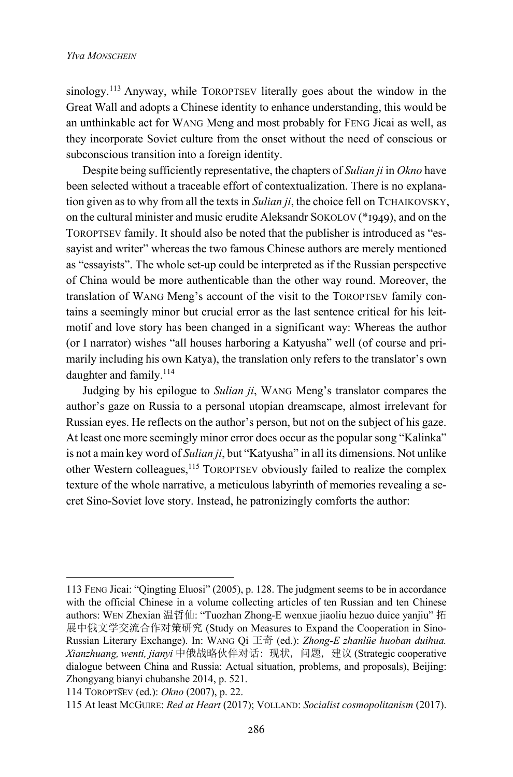sinology.<sup>113</sup> Anyway, while TOROPTSEV literally goes about the window in the Great Wall and adopts a Chinese identity to enhance understanding, this would be an unthinkable act for WANG Meng and most probably for FENG Jicai as well, as they incorporate Soviet culture from the onset without the need of conscious or subconscious transition into a foreign identity.

Despite being sufficiently representative, the chapters of *Sulian ji* in *Okno* have been selected without a traceable effort of contextualization. There is no explanation given as to why from all the texts in *Sulian ji*, the choice fell on TCHAIKOVSKY, on the cultural minister and music erudite Aleksandr SOKOLOV ( $*$ 1949), and on the TOROPTSEV family. It should also be noted that the publisher is introduced as "essayist and writer" whereas the two famous Chinese authors are merely mentioned as "essayists". The whole set-up could be interpreted as if the Russian perspective of China would be more authenticable than the other way round. Moreover, the translation of WANG Meng's account of the visit to the TOROPTSEV family contains a seemingly minor but crucial error as the last sentence critical for his leitmotif and love story has been changed in a significant way: Whereas the author (or I narrator) wishes "all houses harboring a Katyusha" well (of course and primarily including his own Katya), the translation only refers to the translator's own daughter and family.<sup>114</sup>

Judging by his epilogue to *Sulian ji*, WANG Meng's translator compares the author's gaze on Russia to a personal utopian dreamscape, almost irrelevant for Russian eyes. He reflects on the author's person, but not on the subject of his gaze. At least one more seemingly minor error does occur as the popular song "Kalinka" is not a main key word of *Sulian ji*, but "Katyusha" in all its dimensions. Not unlike other Western colleagues,<sup>115</sup> TOROPTSEV obviously failed to realize the complex texture of the whole narrative, a meticulous labyrinth of memories revealing a secret Sino-Soviet love story. Instead, he patronizingly comforts the author:

<sup>113</sup> FENG Jicai: "Qingting Eluosi" (2005), p. 128. The judgment seems to be in accordance with the official Chinese in a volume collecting articles of ten Russian and ten Chinese authors: WEN Zhexian 温哲仙: "Tuozhan Zhong-E wenxue jiaoliu hezuo duice yanjiu" 拓 展中俄文学交流合作对策研究 (Study on Measures to Expand the Cooperation in Sino-Russian Literary Exchange). In: WANG Qi 王奇 (ed.): *Zhong-E zhanlüe huoban duihua. Xianzhuang, wenti, jianyi* 中俄战略伙伴对话: 现状, 问题, 建议 (Strategic cooperative dialogue between China and Russia: Actual situation, problems, and proposals), Beijing: Zhongyang bianyi chubanshe 2014, p. 521.

<sup>114</sup> TOROPT͡SEV (ed.): *Okno* (2007), p. 22.

<sup>115</sup> At least MCGUIRE: *Red at Heart* (2017); VOLLAND: *Socialist cosmopolitanism* (2017).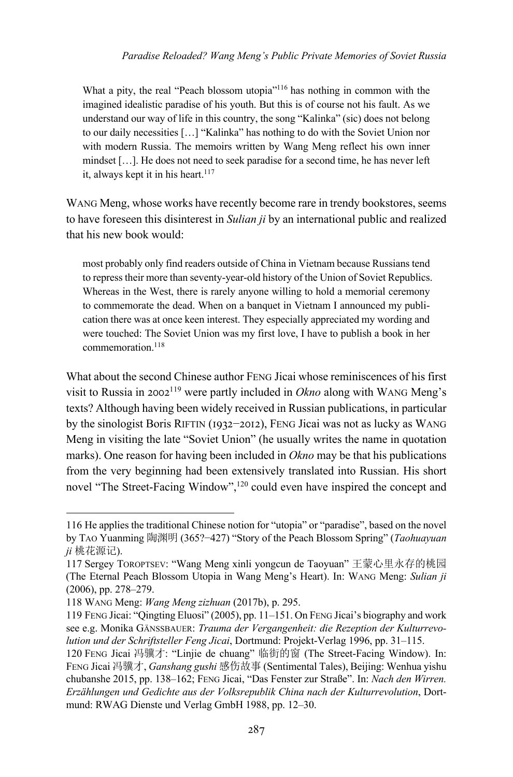What a pity, the real "Peach blossom utopia"<sup>116</sup> has nothing in common with the imagined idealistic paradise of his youth. But this is of course not his fault. As we understand our way of life in this country, the song "Kalinka" (sic) does not belong to our daily necessities […] "Kalinka" has nothing to do with the Soviet Union nor with modern Russia. The memoirs written by Wang Meng reflect his own inner mindset […]. He does not need to seek paradise for a second time, he has never left it, always kept it in his heart. $117$ 

WANG Meng, whose works have recently become rare in trendy bookstores, seems to have foreseen this disinterest in *Sulian ji* by an international public and realized that his new book would:

most probably only find readers outside of China in Vietnam because Russians tend to repress their more than seventy-year-old history of the Union of Soviet Republics. Whereas in the West, there is rarely anyone willing to hold a memorial ceremony to commemorate the dead. When on a banquet in Vietnam I announced my publication there was at once keen interest. They especially appreciated my wording and were touched: The Soviet Union was my first love, I have to publish a book in her commemoration.118

What about the second Chinese author FENG Jicai whose reminiscences of his first visit to Russia in  $2002^{119}$  were partly included in *Okno* along with WANG Meng's texts? Although having been widely received in Russian publications, in particular by the sinologist Boris RIFTIN (1932−2012), FENG Jicai was not as lucky as WANG Meng in visiting the late "Soviet Union" (he usually writes the name in quotation marks). One reason for having been included in *Okno* may be that his publications from the very beginning had been extensively translated into Russian. His short novel "The Street-Facing Window",<sup>120</sup> could even have inspired the concept and

<sup>116</sup> He applies the traditional Chinese notion for "utopia" or "paradise", based on the novel by TAO Yuanming 陶渊明 (365?−427) "Story of the Peach Blossom Spring" (*Taohuayuan ji* 桃花源记).

<sup>117</sup> Sergey TOROPTSEV: "Wang Meng xinli yongcun de Taoyuan" 王蒙心里永存的桃园 (The Eternal Peach Blossom Utopia in Wang Meng's Heart). In: WANG Meng: *Sulian ji* (2006), pp. 278–279.

<sup>118</sup> WANG Meng: *Wang Meng zizhuan* (2017b), p. 295.

<sup>119</sup> FENG Jicai: "Qingting Eluosi" (2005), pp. 11–151. On FENG Jicai's biography and work see e.g. Monika GÄNSSBAUER: *Trauma der Vergangenheit: die Rezeption der Kulturrevolution und der Schriftsteller Feng Jicai*, Dortmund: Projekt-Verlag 1996, pp. 31–115.

<sup>120</sup> FENG Jicai 冯骥才: "Linjie de chuang" 临街的窗 (The Street-Facing Window). In: FENG Jicai 冯骥才, *Ganshang gushi* 感伤故事 (Sentimental Tales), Beijing: Wenhua yishu chubanshe 2015, pp. 138–162; FENG Jicai, "Das Fenster zur Straße". In: *Nach den Wirren. Erzählungen und Gedichte aus der Volksrepublik China nach der Kulturrevolution*, Dortmund: RWAG Dienste und Verlag GmbH 1988, pp. 12–30.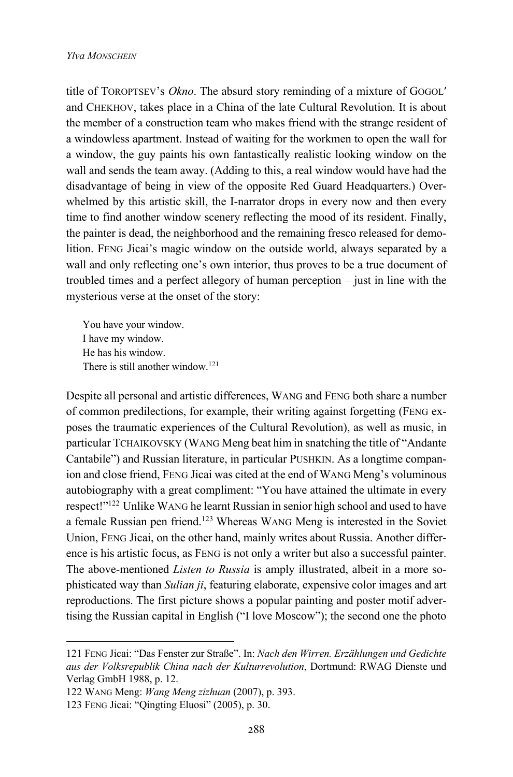title of TOROPTSEV's *Okno*. The absurd story reminding of a mixture of GOGOLʹ and CHEKHOV, takes place in a China of the late Cultural Revolution. It is about the member of a construction team who makes friend with the strange resident of a windowless apartment. Instead of waiting for the workmen to open the wall for a window, the guy paints his own fantastically realistic looking window on the wall and sends the team away. (Adding to this, a real window would have had the disadvantage of being in view of the opposite Red Guard Headquarters.) Overwhelmed by this artistic skill, the I-narrator drops in every now and then every time to find another window scenery reflecting the mood of its resident. Finally, the painter is dead, the neighborhood and the remaining fresco released for demolition. FENG Jicai's magic window on the outside world, always separated by a wall and only reflecting one's own interior, thus proves to be a true document of troubled times and a perfect allegory of human perception – just in line with the mysterious verse at the onset of the story:

You have your window. I have my window. He has his window. There is still another window.<sup>121</sup>

Despite all personal and artistic differences, WANG and FENG both share a number of common predilections, for example, their writing against forgetting (FENG exposes the traumatic experiences of the Cultural Revolution), as well as music, in particular TCHAIKOVSKY (WANG Meng beat him in snatching the title of "Andante Cantabile") and Russian literature, in particular PUSHKIN. As a longtime companion and close friend, FENG Jicai was cited at the end of WANG Meng's voluminous autobiography with a great compliment: "You have attained the ultimate in every respect!"122 Unlike WANG he learnt Russian in senior high school and used to have a female Russian pen friend. <sup>123</sup> Whereas WANG Meng is interested in the Soviet Union, FENG Jicai, on the other hand, mainly writes about Russia. Another difference is his artistic focus, as FENG is not only a writer but also a successful painter. The above-mentioned *Listen to Russia* is amply illustrated, albeit in a more sophisticated way than *Sulian ji*, featuring elaborate, expensive color images and art reproductions. The first picture shows a popular painting and poster motif advertising the Russian capital in English ("I love Moscow"); the second one the photo

<sup>121</sup> FENG Jicai: "Das Fenster zur Straße". In: *Nach den Wirren. Erzählungen und Gedichte aus der Volksrepublik China nach der Kulturrevolution*, Dortmund: RWAG Dienste und Verlag GmbH 1988, p. 12.

<sup>122</sup> WANG Meng: *Wang Meng zizhuan* (2007), p. 393.

<sup>123</sup> FENG Jicai: "Qingting Eluosi" (2005), p. 30.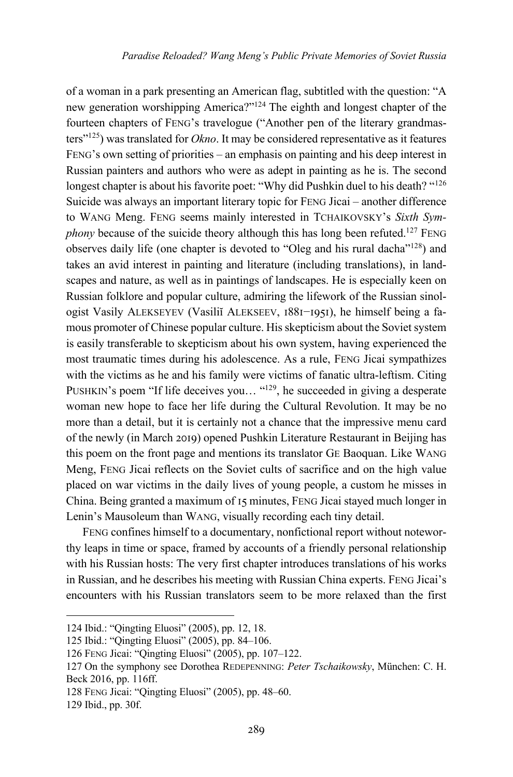of a woman in a park presenting an American flag, subtitled with the question: "A new generation worshipping America?"124 The eighth and longest chapter of the fourteen chapters of FENG's travelogue ("Another pen of the literary grandmasters"125) was translated for *Okno*. It may be considered representative as it features FENG's own setting of priorities – an emphasis on painting and his deep interest in Russian painters and authors who were as adept in painting as he is. The second longest chapter is about his favorite poet: "Why did Pushkin duel to his death? "<sup>126</sup> Suicide was always an important literary topic for FENG Jicai – another difference to WANG Meng. FENG seems mainly interested in TCHAIKOVSKY's *Sixth Symphony* because of the suicide theory although this has long been refuted.<sup>127</sup> FENG observes daily life (one chapter is devoted to "Oleg and his rural dacha"128) and takes an avid interest in painting and literature (including translations), in landscapes and nature, as well as in paintings of landscapes. He is especially keen on Russian folklore and popular culture, admiring the lifework of the Russian sinologist Vasily ALEKSEYEV (Vasiliĭ ALEKSEEV, 1881-1951), he himself being a famous promoter of Chinese popular culture. His skepticism about the Soviet system is easily transferable to skepticism about his own system, having experienced the most traumatic times during his adolescence. As a rule, FENG Jicai sympathizes with the victims as he and his family were victims of fanatic ultra-leftism. Citing PUSHKIN's poem "If life deceives you... "<sup>129</sup>, he succeeded in giving a desperate woman new hope to face her life during the Cultural Revolution. It may be no more than a detail, but it is certainly not a chance that the impressive menu card of the newly (in March 2019) opened Pushkin Literature Restaurant in Beijing has this poem on the front page and mentions its translator GE Baoquan. Like WANG Meng, FENG Jicai reflects on the Soviet cults of sacrifice and on the high value placed on war victims in the daily lives of young people, a custom he misses in China. Being granted a maximum of 15 minutes, FENG Jicai stayed much longer in Lenin's Mausoleum than WANG, visually recording each tiny detail.

FENG confines himself to a documentary, nonfictional report without noteworthy leaps in time or space, framed by accounts of a friendly personal relationship with his Russian hosts: The very first chapter introduces translations of his works in Russian, and he describes his meeting with Russian China experts. FENG Jicai's encounters with his Russian translators seem to be more relaxed than the first

<sup>124</sup> Ibid.: "Qingting Eluosi" (2005), pp. 12, 18.

<sup>125</sup> Ibid.: "Qingting Eluosi" (2005), pp. 84–106.

<sup>126</sup> FENG Jicai: "Qingting Eluosi" (2005), pp. 107–122.

<sup>127</sup> On the symphony see Dorothea REDEPENNING: *Peter Tschaikowsky*, München: C. H. Beck 2016, pp. 116ff.

<sup>128</sup> FENG Jicai: "Qingting Eluosi" (2005), pp. 48–60.

<sup>129</sup> Ibid., pp. 30f.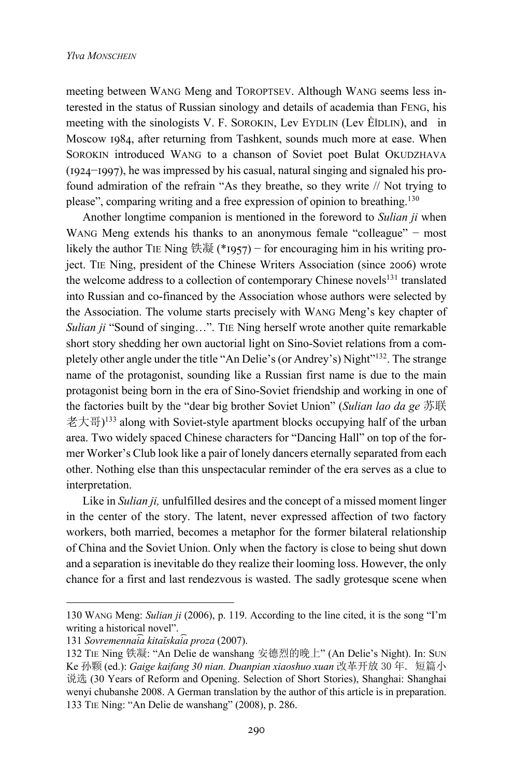meeting between WANG Meng and TOROPTSEV. Although WANG seems less interested in the status of Russian sinology and details of academia than FENG, his meeting with the sinologists V. F. SOROKIN, Lev EYDLIN (Lev ĖĬDLIN), and in Moscow 1984, after returning from Tashkent, sounds much more at ease. When SOROKIN introduced WANG to a chanson of Soviet poet Bulat OKUDZHAVA ( $1924-1997$ ), he was impressed by his casual, natural singing and signaled his profound admiration of the refrain "As they breathe, so they write // Not trying to please", comparing writing and a free expression of opinion to breathing.<sup>130</sup>

Another longtime companion is mentioned in the foreword to *Sulian ji* when WANG Meng extends his thanks to an anonymous female "colleague" − most likely the author TIE Ning 铁凝 (\*1957) – for encouraging him in his writing project. TIE Ning, president of the Chinese Writers Association (since 2006) wrote the welcome address to a collection of contemporary Chinese novels $131$  translated into Russian and co-financed by the Association whose authors were selected by the Association. The volume starts precisely with WANG Meng's key chapter of *Sulian ji* "Sound of singing…". TIE Ning herself wrote another quite remarkable short story shedding her own auctorial light on Sino-Soviet relations from a completely other angle under the title "An Delie's (or Andrey's) Night"132. The strange name of the protagonist, sounding like a Russian first name is due to the main protagonist being born in the era of Sino-Soviet friendship and working in one of the factories built by the "dear big brother Soviet Union" (*Sulian lao da ge* 苏联 老大哥) <sup>133</sup> along with Soviet-style apartment blocks occupying half of the urban area. Two widely spaced Chinese characters for "Dancing Hall" on top of the former Worker's Club look like a pair of lonely dancers eternally separated from each other. Nothing else than this unspectacular reminder of the era serves as a clue to interpretation.

Like in *Sulian ji,* unfulfilled desires and the concept of a missed moment linger in the center of the story. The latent, never expressed affection of two factory workers, both married, becomes a metaphor for the former bilateral relationship of China and the Soviet Union. Only when the factory is close to being shut down and a separation is inevitable do they realize their looming loss. However, the only chance for a first and last rendezvous is wasted. The sadly grotesque scene when

<sup>130</sup> WANG Meng: *Sulian ji* (2006), p. 119. According to the line cited, it is the song "I'm writing a historical novel".

<sup>131</sup> *Sovremennai͡a kitaĭskai͡a proza* (2007).

<sup>132</sup> TIE Ning 铁凝: "An Delie de wanshang 安德烈的晚上" (An Delie's Night). In: SUN Ke 孙颗 (ed.): *Gaige kaifang 30 nian. Duanpian xiaoshuo xuan* 改革开放 30 年. 短篇小 说选 (30 Years of Reform and Opening. Selection of Short Stories), Shanghai: Shanghai wenyi chubanshe 2008. A German translation by the author of this article is in preparation. 133 TIE Ning: "An Delie de wanshang" (2008), p. 286.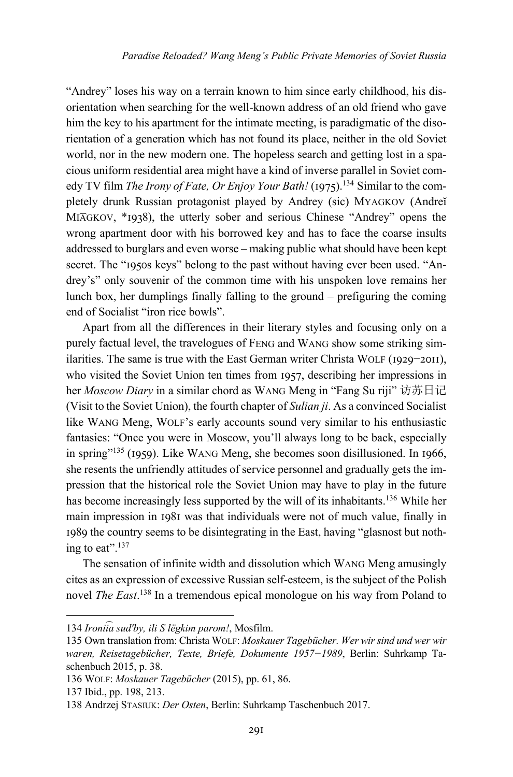"Andrey" loses his way on a terrain known to him since early childhood, his disorientation when searching for the well-known address of an old friend who gave him the key to his apartment for the intimate meeting, is paradigmatic of the disorientation of a generation which has not found its place, neither in the old Soviet world, nor in the new modern one. The hopeless search and getting lost in a spacious uniform residential area might have a kind of inverse parallel in Soviet comedy TV film *The Irony of Fate, Or Enjoy Your Bath!* (1975).<sup>134</sup> Similar to the completely drunk Russian protagonist played by Andrey (sic) MYAGKOV (Andreĭ MIAGKOV, \*1938), the utterly sober and serious Chinese "Andrey" opens the wrong apartment door with his borrowed key and has to face the coarse insults addressed to burglars and even worse – making public what should have been kept secret. The "1950s keys" belong to the past without having ever been used. "Andrey's" only souvenir of the common time with his unspoken love remains her lunch box, her dumplings finally falling to the ground – prefiguring the coming end of Socialist "iron rice bowls".

Apart from all the differences in their literary styles and focusing only on a purely factual level, the travelogues of FENG and WANG show some striking similarities. The same is true with the East German writer Christa WOLF (1929-2011), who visited the Soviet Union ten times from 1957, describing her impressions in her *Moscow Diary* in a similar chord as WANG Meng in "Fang Su riji" 访苏日记 (Visit to the Soviet Union), the fourth chapter of *Sulian ji*. As a convinced Socialist like WANG Meng, WOLF's early accounts sound very similar to his enthusiastic fantasies: "Once you were in Moscow, you'll always long to be back, especially in spring"<sup>135</sup> (1959). Like WANG Meng, she becomes soon disillusioned. In 1966, she resents the unfriendly attitudes of service personnel and gradually gets the impression that the historical role the Soviet Union may have to play in the future has become increasingly less supported by the will of its inhabitants.136 While her main impression in 1981 was that individuals were not of much value, finally in 1989 the country seems to be disintegrating in the East, having "glasnost but nothing to eat".137

The sensation of infinite width and dissolution which WANG Meng amusingly cites as an expression of excessive Russian self-esteem, is the subject of the Polish novel *The East*. <sup>138</sup> In a tremendous epical monologue on his way from Poland to

<sup>134</sup> *Ironii͡a sudʹby, ili S lëgkim parom!*, Mosfilm.

<sup>135</sup> Own translation from: Christa WOLF: *Moskauer Tagebücher. Wer wir sind und wer wir waren, Reisetagebücher, Texte, Briefe, Dokumente 1957−1989*, Berlin: Suhrkamp Taschenbuch 2015, p. 38.

<sup>136</sup> WOLF: *Moskauer Tagebücher* (2015), pp. 61, 86.

<sup>137</sup> Ibid., pp. 198, 213.

<sup>138</sup> Andrzej STASIUK: *Der Osten*, Berlin: Suhrkamp Taschenbuch 2017.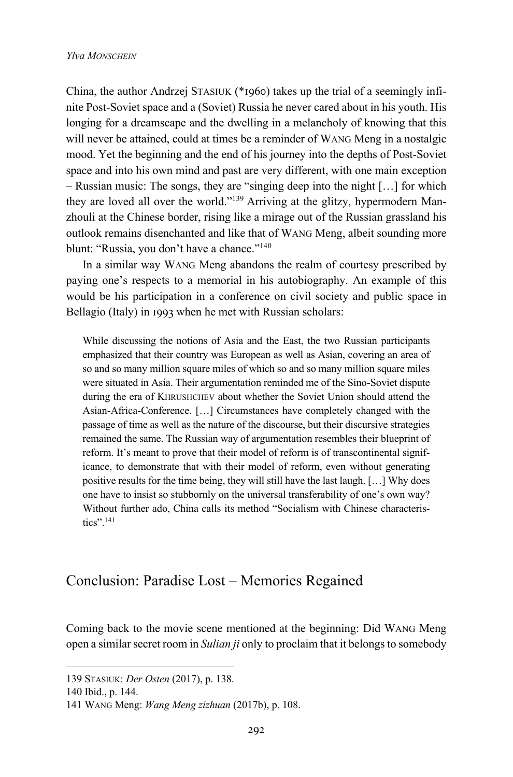China, the author Andrzej STASIUK ( $*$ 1960) takes up the trial of a seemingly infinite Post-Soviet space and a (Soviet) Russia he never cared about in his youth. His longing for a dreamscape and the dwelling in a melancholy of knowing that this will never be attained, could at times be a reminder of WANG Meng in a nostalgic mood. Yet the beginning and the end of his journey into the depths of Post-Soviet space and into his own mind and past are very different, with one main exception – Russian music: The songs, they are "singing deep into the night […] for which they are loved all over the world."139 Arriving at the glitzy, hypermodern Manzhouli at the Chinese border, rising like a mirage out of the Russian grassland his outlook remains disenchanted and like that of WANG Meng, albeit sounding more blunt: "Russia, you don't have a chance."<sup>140</sup>

In a similar way WANG Meng abandons the realm of courtesy prescribed by paying one's respects to a memorial in his autobiography. An example of this would be his participation in a conference on civil society and public space in Bellagio (Italy) in 1993 when he met with Russian scholars:

While discussing the notions of Asia and the East, the two Russian participants emphasized that their country was European as well as Asian, covering an area of so and so many million square miles of which so and so many million square miles were situated in Asia. Their argumentation reminded me of the Sino-Soviet dispute during the era of KHRUSHCHEV about whether the Soviet Union should attend the Asian-Africa-Conference. […] Circumstances have completely changed with the passage of time as well as the nature of the discourse, but their discursive strategies remained the same. The Russian way of argumentation resembles their blueprint of reform. It's meant to prove that their model of reform is of transcontinental significance, to demonstrate that with their model of reform, even without generating positive results for the time being, they will still have the last laugh. […] Why does one have to insist so stubbornly on the universal transferability of one's own way? Without further ado, China calls its method "Socialism with Chinese characteristics".141

#### Conclusion: Paradise Lost – Memories Regained

Coming back to the movie scene mentioned at the beginning: Did WANG Meng open a similar secret room in *Sulian ji* only to proclaim that it belongs to somebody

<sup>139</sup> STASIUK: *Der Osten* (2017), p. 138.

<sup>140</sup> Ibid., p. 144.

<sup>141</sup> WANG Meng: *Wang Meng zizhuan* (2017b), p. 108.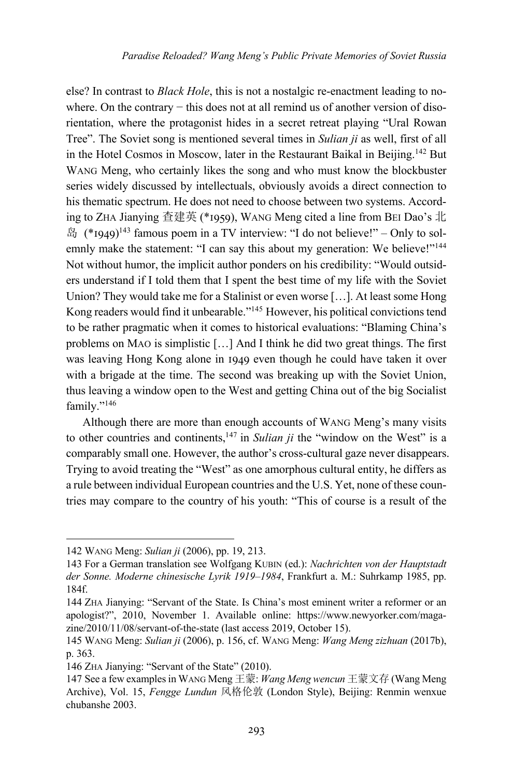else? In contrast to *Black Hole*, this is not a nostalgic re-enactment leading to nowhere. On the contrary – this does not at all remind us of another version of disorientation, where the protagonist hides in a secret retreat playing "Ural Rowan Tree". The Soviet song is mentioned several times in *Sulian ji* as well, first of all in the Hotel Cosmos in Moscow, later in the Restaurant Baikal in Beijing.<sup>142</sup> But WANG Meng, who certainly likes the song and who must know the blockbuster series widely discussed by intellectuals, obviously avoids a direct connection to his thematic spectrum. He does not need to choose between two systems. According to ZHA Jianying 査建英 (\*1959), WANG Meng cited a line from BEI Dao's 北  $\mathbb{H}$  (\*1949)<sup>143</sup> famous poem in a TV interview: "I do not believe!" – Only to solemnly make the statement: "I can say this about my generation: We believe!"<sup>144</sup> Not without humor, the implicit author ponders on his credibility: "Would outsiders understand if I told them that I spent the best time of my life with the Soviet Union? They would take me for a Stalinist or even worse […]. At least some Hong Kong readers would find it unbearable."145 However, his political convictions tend to be rather pragmatic when it comes to historical evaluations: "Blaming China's problems on MAO is simplistic […] And I think he did two great things. The first was leaving Hong Kong alone in 1949 even though he could have taken it over with a brigade at the time. The second was breaking up with the Soviet Union, thus leaving a window open to the West and getting China out of the big Socialist family."<sup>146</sup>

Although there are more than enough accounts of WANG Meng's many visits to other countries and continents,147 in *Sulian ji* the "window on the West" is a comparably small one. However, the author's cross-cultural gaze never disappears. Trying to avoid treating the "West" as one amorphous cultural entity, he differs as a rule between individual European countries and the U.S. Yet, none of these countries may compare to the country of his youth: "This of course is a result of the

<sup>142</sup> WANG Meng: *Sulian ji* (2006), pp. 19, 213.

<sup>143</sup> For a German translation see Wolfgang KUBIN (ed.): *Nachrichten von der Hauptstadt der Sonne. Moderne chinesische Lyrik 1919–1984*, Frankfurt a. M.: Suhrkamp 1985, pp. 184f.

<sup>144</sup> ZHA Jianying: "Servant of the State. Is China's most eminent writer a reformer or an apologist?", 2010, November 1. Available online: https://www.newyorker.com/magazine/2010/11/08/servant-of-the-state (last access 2019, October 15).

<sup>145</sup> WANG Meng: *Sulian ji* (2006), p. 156, cf. WANG Meng: *Wang Meng zizhuan* (2017b), p. 363.

<sup>146</sup> ZHA Jianying: "Servant of the State" (2010).

<sup>147</sup> See a few examples in WANG Meng 王蒙: *Wang Meng wencun* 王蒙文存 (Wang Meng Archive), Vol. 15, *Fengge Lundun* 风格伦敦 (London Style), Beijing: Renmin wenxue chubanshe 2003.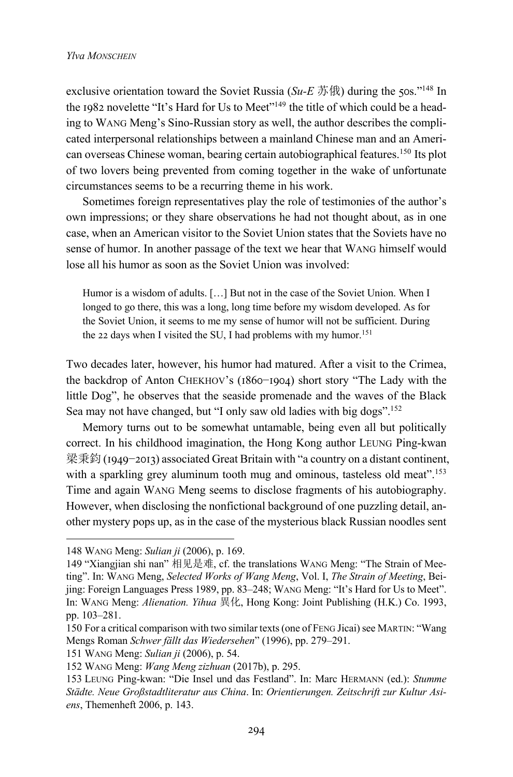exclusive orientation toward the Soviet Russia (*Su-E*  $\ddot{\pi}$  f) during the 50s.<sup>"148</sup> In the 1982 novelette "It's Hard for Us to Meet"<sup>149</sup> the title of which could be a heading to WANG Meng's Sino-Russian story as well, the author describes the complicated interpersonal relationships between a mainland Chinese man and an American overseas Chinese woman, bearing certain autobiographical features.150 Its plot of two lovers being prevented from coming together in the wake of unfortunate circumstances seems to be a recurring theme in his work.

Sometimes foreign representatives play the role of testimonies of the author's own impressions; or they share observations he had not thought about, as in one case, when an American visitor to the Soviet Union states that the Soviets have no sense of humor. In another passage of the text we hear that WANG himself would lose all his humor as soon as the Soviet Union was involved:

Humor is a wisdom of adults. […] But not in the case of the Soviet Union. When I longed to go there, this was a long, long time before my wisdom developed. As for the Soviet Union, it seems to me my sense of humor will not be sufficient. During the 22 days when I visited the SU. I had problems with my humor.<sup>151</sup>

Two decades later, however, his humor had matured. After a visit to the Crimea, the backdrop of Anton CHEKHOV's (1860-1904) short story "The Lady with the little Dog", he observes that the seaside promenade and the waves of the Black Sea may not have changed, but "I only saw old ladies with big dogs".<sup>152</sup>

Memory turns out to be somewhat untamable, being even all but politically correct. In his childhood imagination, the Hong Kong author LEUNG Ping-kwan 梁秉鈞 (1949−2013) associated Great Britain with "a country on a distant continent, with a sparkling grey aluminum tooth mug and ominous, tasteless old meat".<sup>153</sup> Time and again WANG Meng seems to disclose fragments of his autobiography. However, when disclosing the nonfictional background of one puzzling detail, another mystery pops up, as in the case of the mysterious black Russian noodles sent

<sup>148</sup> WANG Meng: *Sulian ji* (2006), p. 169.

<sup>149</sup> "Xiangjian shi nan" 相见是难, cf. the translations WANG Meng: "The Strain of Meeting". In: WANG Meng, *Selected Works of Wang Meng*, Vol. I, *The Strain of Meeting*, Beijing: Foreign Languages Press 1989, pp. 83–248; WANG Meng: "It's Hard for Us to Meet". In: WANG Meng: *Alienation. Yihua* 異化, Hong Kong: Joint Publishing (H.K.) Co. 1993, pp. 103–281.

<sup>150</sup> For a critical comparison with two similar texts (one of FENG Jicai) see MARTIN: "Wang Mengs Roman *Schwer fällt das Wiedersehen*" (1996), pp. 279–291.

<sup>151</sup> WANG Meng: *Sulian ji* (2006), p. 54.

<sup>152</sup> WANG Meng: *Wang Meng zizhuan* (2017b), p. 295.

<sup>153</sup> LEUNG Ping-kwan: "Die Insel und das Festland". In: Marc HERMANN (ed.): *Stumme Städte. Neue Großstadtliteratur aus China*. In: *Orientierungen. Zeitschrift zur Kultur Asiens*, Themenheft 2006, p. 143.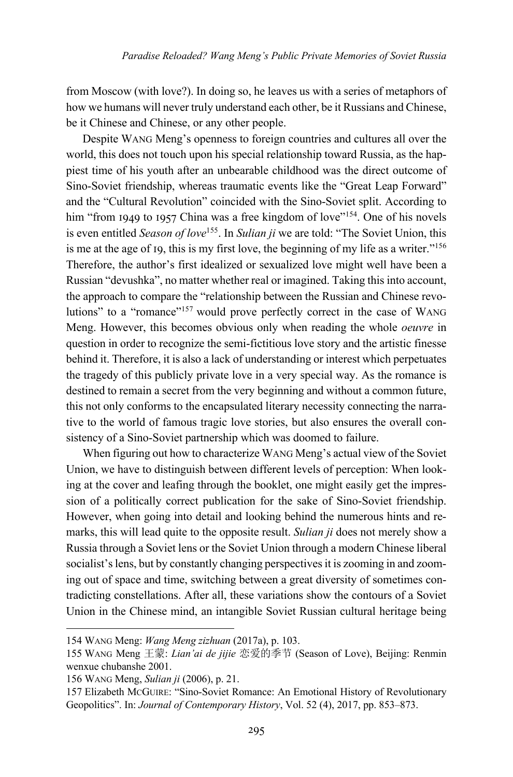from Moscow (with love?). In doing so, he leaves us with a series of metaphors of how we humans will never truly understand each other, be it Russians and Chinese, be it Chinese and Chinese, or any other people.

Despite WANG Meng's openness to foreign countries and cultures all over the world, this does not touch upon his special relationship toward Russia, as the happiest time of his youth after an unbearable childhood was the direct outcome of Sino-Soviet friendship, whereas traumatic events like the "Great Leap Forward" and the "Cultural Revolution" coincided with the Sino-Soviet split. According to him "from 1949 to 1957 China was a free kingdom of love"<sup>154</sup>. One of his novels is even entitled *Season of love*155. In *Sulian ji* we are told: "The Soviet Union, this is me at the age of 19, this is my first love, the beginning of my life as a writer."<sup>156</sup> Therefore, the author's first idealized or sexualized love might well have been a Russian "devushka", no matter whether real or imagined. Taking this into account, the approach to compare the "relationship between the Russian and Chinese revolutions" to a "romance"<sup>157</sup> would prove perfectly correct in the case of WANG Meng. However, this becomes obvious only when reading the whole *oeuvre* in question in order to recognize the semi-fictitious love story and the artistic finesse behind it. Therefore, it is also a lack of understanding or interest which perpetuates the tragedy of this publicly private love in a very special way. As the romance is destined to remain a secret from the very beginning and without a common future, this not only conforms to the encapsulated literary necessity connecting the narrative to the world of famous tragic love stories, but also ensures the overall consistency of a Sino-Soviet partnership which was doomed to failure.

When figuring out how to characterize WANG Meng's actual view of the Soviet Union, we have to distinguish between different levels of perception: When looking at the cover and leafing through the booklet, one might easily get the impression of a politically correct publication for the sake of Sino-Soviet friendship. However, when going into detail and looking behind the numerous hints and remarks, this will lead quite to the opposite result. *Sulian ji* does not merely show a Russia through a Soviet lens or the Soviet Union through a modern Chinese liberal socialist's lens, but by constantly changing perspectives it is zooming in and zooming out of space and time, switching between a great diversity of sometimes contradicting constellations. After all, these variations show the contours of a Soviet Union in the Chinese mind, an intangible Soviet Russian cultural heritage being

<sup>154</sup> WANG Meng: *Wang Meng zizhuan* (2017a), p. 103.

<sup>155</sup> WANG Meng 王蒙: *Lian'ai de jijie* 恋爱的季节 (Season of Love), Beijing: Renmin wenxue chubanshe 2001.

<sup>156</sup> WANG Meng, *Sulian ji* (2006), p. 21.

<sup>157</sup> Elizabeth MCGUIRE: "Sino-Soviet Romance: An Emotional History of Revolutionary Geopolitics". In: *Journal of Contemporary History*, Vol. 52 (4), 2017, pp. 853–873.